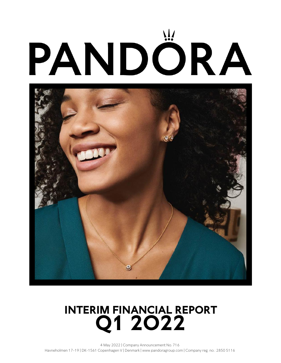# PANDÔRA



## **Q1 2O22 INTERIM FINANCIAL REPORT**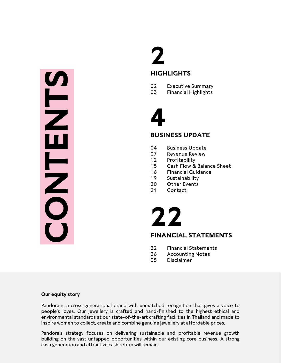# cash generation and attractive cash generation and attractive cash generation and attractive cash generation and attractive cash return will remain.<br>
Content of the case of the case of the case of the case of the case of t

# **2 HIGHLIGHTS**

- 02 Executive Summary
- 03 Financial Highlights

# **4**

### **BUSINESS UPDATE**

- 04 Business Update
- 07 Revenue Review
- 12 Profitability
- 15 Cash Flow & Balance Sheet
- 16 Financial Guidance
- 19 Sustainability
- 20 Other Events
- 21 Contact

# **22**

### **FINANCIAL STATEMENTS**

- 22 Financial Statements
- 26 Accounting Notes
- 35 Disclaimer

### **Our equity story**

Pandora is a cross-generational brand with unmatched recognition that gives a voice to people's loves. Our jewellery is crafted and hand-finished to the highest ethical and environmental standards at our state-of-the-art crafting facilities in Thailand and made to inspire women to collect, create and combine genuine jewellery at affordable prices.

Pandora's strategy focuses on delivering sustainable and profitable revenue growth building on the vast untapped opportunities within our existing core business. A strong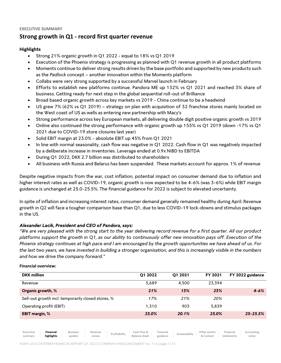### **Strong growth in Q1 - record first quarter revenue**

### **Highlights**

- Strong 21% organic growth in Q1 2022 equal to 18% vs Q1 2019
- Execution of the Phoenix strategy is progressing as planned with Q1 revenue growth in all product platforms
- Moments continue to deliver strong results driven by the base portfolio and supported by new products such as the *Padlock* concept – another innovation within the Moments platform
- Collabs were very strong supported by a successful *Marvel* launch in February
- Efforts to establish new platforms continue. Pandora ME up 132% vs Q1 2021 and reached 3% share of business. Getting ready for next step in the global sequential roll-out of Brilliance
- Broad based organic growth across key markets vs 2019 China continue to be a headwind
- US grew 7% (62% vs Q1 2019) strategy on plan with acquisition of 32 franchise stores mainly located on the West coast of US as wells as entering new partnership with Macy's
- Strong performance across key European markets, all delivering double digit positive organic growth vs 2019
- Online also continued the strong performance with organic growth up 155% vs Q1 2019 (down -17% vs Q1 2021 due to COVID-19 store closures last year)
- Solid EBIT margin at 23.0% absolute EBIT up 45% from Q1 2021
- In line with normal seasonality, cash flow was negative in Q1 2022. Cash flow in Q1 was negatively impacted by a deliberate increase in inventories. Leverage ended at 0.9x NIBD to EBITDA
- During Q1 2022, DKK 2.7 billion was distributed to shareholders
- All business with Russia and Belarus has been suspended. These markets account for approx. 1% of revenue

Despite negative impacts from the war, cost inflation, potential impact on consumer demand due to inflation and higher interest rates as well as COVID-19, organic growth is now expected to be 4-6% (was 3-6%) while EBIT margin guidance is unchanged at 25.0-25.5%. The financial guidance for 2022 is subject to elevated uncertainty.

In spite of inflation and increasing interest rates, consumer demand generally remained healthy during April. Revenue growth in Q2 will face a tougher comparison base than Q1, due to less COVID-19 lock-downs and stimulus packages in the US.

### *Alexander Lacik, President and CEO of Pandora, says:*

*"We are very pleased with the strong start to the year delivering record revenue for a first quarter. All our product platforms support the growth in Q1, as our ability to continuously offer new innovation pays off. Execution of the Phoenix strategy continues at high pace and I am encouraged by the growth opportunities we have ahead of us. For the last two years, we have invested in building a stronger organisation, and this is increasingly visible in the numbers and how we drive the company forward."*

### **Financial overview:**

| <b>DKK</b> million                                 | O1 2022 | O1 2021 | FY 2021 | FY 2022 guidance |
|----------------------------------------------------|---------|---------|---------|------------------|
| Revenue                                            | 5,689   | 4.500   | 23.394  |                  |
| Organic growth, %                                  | 21%     | 13%     | 23%     | $4 - 6%$         |
| Sell-out growth incl. temporarily closed stores, % | 17%     | 21%     | 20%     |                  |
| Operating profit (EBIT)                            | 1.310   | 903     | 5.839   |                  |
| <b>EBIT margin, %</b>                              | 23.0%   | 20.1%   | 25.0%   | $25 - 25.5%$     |



Balance sheet Financial

Financial statements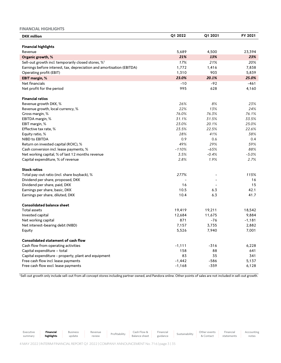### **FINANCIAL HIGHLIGHTS**

| <b>DKK</b> million                                                    | Q1 2022  | Q1 2021 | FY 2021  |
|-----------------------------------------------------------------------|----------|---------|----------|
|                                                                       |          |         |          |
| <b>Financial highlights</b>                                           |          |         |          |
| Revenue                                                               | 5,689    | 4,500   | 23,394   |
| Organic growth, %                                                     | 21%      | 13%     | 23%      |
| Sell-out growth incl. temporarily closed stores, % <sup>1</sup>       | 17%      | 21%     | 20%      |
| Earnings before interest, tax, depreciation and amortisation (EBITDA) | 1,772    | 1,416   | 7,838    |
| Operating profit (EBIT)                                               | 1,310    | 903     | 5,839    |
| <b>EBIT margin, %</b>                                                 | 23.0%    | 20.1%   | 25.0%    |
| Net financials                                                        | $-10$    | $-92$   | $-461$   |
| Net profit for the period                                             | 995      | 628     | 4,160    |
| <b>Financial ratios</b>                                               |          |         |          |
| Revenue growth DKK, %                                                 | 26%      | 8%      | 23%      |
| Revenue growth, local currency, %                                     | 22%      | 13%     | 24%      |
| Gross margin, %                                                       | 76.0%    | 76.3%   | 76.1%    |
| EBITDA margin, %                                                      | 31.1%    | 31.5%   | 33.5%    |
| EBIT margin, %                                                        | 23.0%    | 20.1%   | 25.0%    |
| Effective tax rate, %                                                 | 23.5%    | 22.5%   | 22.6%    |
| Equity ratio, %                                                       | 28%      | 41%     | 38%      |
| NIBD to EBITDA                                                        | 0.9      | 0.6     | 0.4      |
| Return on invested capital (ROIC), %                                  | 49%      | 29%     | 59%      |
| Cash conversion incl. lease payments, %                               | $-110%$  | $-65%$  | 88%      |
| Net working capital, % of last 12 months revenue                      | 3.5%     | $-0.4%$ | $-5.0%$  |
| Capital expenditure, % of revenue                                     | 2.8%     | 1.9%    | 2.7%     |
| <b>Stock ratios</b>                                                   |          |         |          |
| Total pay-out ratio (incl. share buyback), %                          | 277%     |         | 115%     |
| Dividend per share, proposed, DKK                                     |          |         | 16       |
| Dividend per share, paid, DKK                                         | 16       |         | 15       |
| Earnings per share, basic, DKK                                        | 10.5     | 6.3     | 42.1     |
| Earnings per share, diluted, DKK                                      | 10.4     | 6.3     | 41.7     |
|                                                                       |          |         |          |
| <b>Consolidated balance sheet</b>                                     |          |         |          |
| <b>Total assets</b>                                                   | 19,419   | 19,211  | 18,542   |
| Invested capital                                                      | 12,684   | 11,675  | 9,884    |
| Net working capital                                                   | 871      | -76     | $-1,181$ |
| Net interest-bearing debt (NIBD)                                      | 7,157    | 3,735   | 2,882    |
| Equity                                                                | 5,526    | 7,940   | 7,001    |
| <b>Consolidated statement of cash flow</b>                            |          |         |          |
| Cash flow from operating activities                                   | $-1,111$ | $-316$  | 6,228    |
| Capital expenditure - total                                           | 158      | 88      | 641      |
| Capital expenditure - property, plant and equipment                   | 83       | 35      | 341      |
| Free cash flow incl. lease payments                                   | $-1,442$ | $-586$  | 5,137    |
| Free cash flow excl. lease payments                                   | $-1,168$ | $-359$  | 6,128    |

<sup>1</sup>Sell-out growth only include sell-out from all concept stores including partner owned, and Pandora online. Other points of sales are not included in sell-out growth.

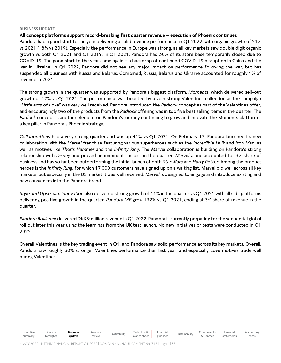### **BUSINESS UPDATE**

### **All concept platforms support record-breaking first quarter revenue – execution of Phoenix continues**

Pandora had a good start to the year delivering a solid revenue performance in Q1 2022, with organic growth of 21% vs 2021 (18% vs 2019). Especially the performance in Europe was strong, as all key markets saw double digit organic growth vs both Q1 2021 and Q1 2019. In Q1 2021, Pandora had 30% of its store base temporarily closed due to COVID-19. The good start to the year came against a backdrop of continued COVID-19 disruption in China and the war in Ukraine. In Q1 2022, Pandora did not see any major impact on performance following the war, but has suspended all business with Russia and Belarus. Combined, Russia, Belarus and Ukraine accounted for roughly 1% of revenue in 2021.

The strong growth in the quarter was supported by Pandora's biggest platform, *Moments*, which delivered sell-out growth of 17% vs Q1 2021. The performance was boosted by a very strong Valentines collection as the campaign "*Little acts of Love*" was very well received. Pandora introduced the *Padlock* concept as part of the Valentines offer, and encouragingly two of the products from the *Padlock* offering was in top five best selling items in the quarter. The *Padlock* concept is another element on Pandora's journey continuing to grow and innovate the Moments platform a key pillar in Pandora's Phoenix strategy.

*Collaborations* had a very strong quarter and was up 41% vs Q1 2021. On February 17, Pandora launched its new collaboration with the *Marvel* franchise featuring various superheroes such as the *Incredible Hulk* and *Iron Man*, as well as motives like *Thor's Hammer* and the *Infinity Ring*. The *Marvel* collaboration is building on Pandora's strong relationship with *Disney* and proved an imminent success in the quarter. *Marvel* alone accounted for 3% share of business and has so far been outperforming the initial launch of both *Star Wars* and *Harry Potter*. Among the product heroes is the *Infinity Ring*, for which 17,000 customers have signed up on a waiting list. Marvel did well across all key markets, but especially in the US market it was well received. *Marvel* is designed to engage and introduce existing and new consumers into the Pandora brand.

*Style and Upstream Innovation* also delivered strong growth of 11% in the quarter vs Q1 2021 with all sub-platforms delivering positive growth in the quarter. *Pandora ME* grew 132% vs Q1 2021, ending at 3% share of revenue in the quarter.

*Pandora Brilliance* delivered DKK 9 million revenue in Q1 2022. Pandora is currently preparing for the sequential global roll out later this year using the learnings from the UK test launch. No new initiatives or tests were conducted in Q1 2022.

Overall Valentines is the key trading event in Q1, and Pandora saw solid performance across its key markets. Overall, Pandora saw roughly 30% stronger Valentines performance than last year, and especially *Love* motives trade well during Valentines.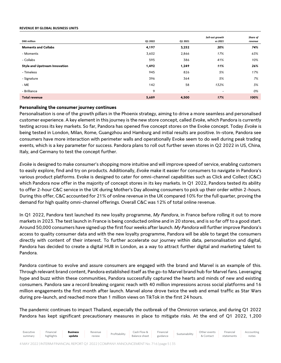### **REVENUE BY GLOBAL BUSINESS UNITS**

| <b>DKK</b> million            | Q1 2022 | Q1 2021 | Sell-out growth<br>vs 2021 | Share of<br>revenue |
|-------------------------------|---------|---------|----------------------------|---------------------|
| <b>Moments and Collabs</b>    | 4,197   | 3,252   | 20%                        | 74%                 |
| - Moments                     | 3,602   | 2,866   | 17%                        | 63%                 |
| - Collabs                     | 595     | 386     | 41%                        | 10%                 |
| Style and Upstream Innovation | 1,492   | 1,249   | 11%                        | 26%                 |
| - Timeless                    | 945     | 826     | 5%                         | 17%                 |
| - Signature                   | 396     | 364     | 5%                         | 7%                  |
| $-ME$                         | 142     | 58      | 132%                       | 3%                  |
| - Brilliance                  | 9       | ۰.      | $\overline{\phantom{a}}$   | 0%                  |
| <b>Total revenue</b>          | 5,689   | 4,500   | 17%                        | 100%                |

### **Personalising the consumer journey continues**

Personalisation is one of the growth pillars in the Phoenix strategy, aiming to drive a more seamless and personalised customer experience. A key element in this journey is the new store concept, called *Evoke*, which Pandora is currently testing across its key markets. So far, Pandora has opened five concept stores on the Evoke concept. Today *Evoke* is being tested in London, Milan, Rome, Guangzhou and Hamburg and initial results are positive. In-store, Pandora see consumers have more interaction with perimeter walls and operationally Evoke seem to do well during peak trading events, which is a key parameter for success. Pandora plans to roll out further seven stores in Q2 2022 in US, China, Italy, and Germany to test the concept further.

*Evoke* is designed to make consumer's shopping more intuitive and will improve speed of service, enabling customers to easily explore, find and try on products. Additionally, *Evoke* make it easier for consumers to navigate in Pandora's various product platforms. Evoke is designed to cater for omni-channel capabilities such as Click and Collect (C&C) which Pandora now offer in the majority of concept stores in its key markets. In Q1 2022, Pandora tested its ability to offer 2-hour C&C service in the UK during Mother's Day allowing consumers to pick up their order within 2-hours. During this offer, C&C accounted for 21% of online revenue in the UK compared 10% for the full quarter, proving the demand for high quality omni-channel offerings. Overall C&C was 12% of total online revenue.

In Q1 2022, Pandora test launched its new loyalty programme, *My Pandora*, in France before rolling it out to more markets in 2023. The test launch in France is being conducted online and in 20 stores, and is so far off to a good start. Around 50,000 consumers have signed up the first four weeks after launch. *My Pandora* will further improve Pandora's access to quality consumer data and with the new loyalty programme, Pandora will be able to target the consumers directly with content of their interest. To further accelerate our journey within data, personalisation and digital, Pandora has decided to create a digital HUB in London, as a way to attract further digital and marketing talent to Pandora.

Pandora continue to evolve and assure consumers are engaged with the brand and Marvel is an example of this. Through relevant brand content, Pandora established itself as the go-to Marvel brand hub for Marvel fans. Leveraging hype and buzz within these communities, Pandora successfully captured the hearts and minds of new and existing consumers. Pandora saw a record breaking organic reach with 40 million impressions across social platforms and 16 million engagements the first month after launch. Marvel alone drove twice the web and email traffic as Star Wars during pre-launch, and reached more than 1 million views on TikTok in the first 24 hours.

The pandemic continues to impact Thailand, especially the outbreak of the Omnicron variance, and during Q1 2022 Pandora has kept significant precautionary measures in place to mitigate risks. At the end of Q1 2022, 1,200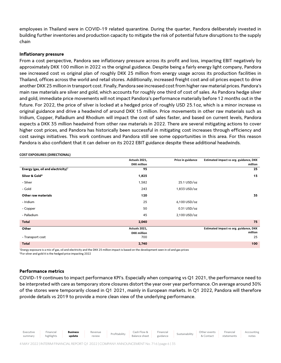employees in Thailand were in COVID-19 related quarantine. During the quarter, Pandora deliberately invested in building further inventories and production capacity to mitigate the risk of potential future disruptions to the supply chain

### **Inflationary pressure**

From a cost perspective, Pandora see inflationary pressure across its profit and loss, impacting EBIT negatively by approximately DKK 100 million in 2022 vs the original guidance. Despite being a fairly energy light company, Pandora see increased cost vs original plan of roughly DKK 25 million from energy usage across its production facilities in Thailand, offices across the world and retail stores. Additionally, increased freight cost and oil prices expect to drive another DKK 25 million in transport cost. Finally, Pandora see increased cost from higher raw material prices. Pandora's main raw materials are silver and gold, which accounts for roughly one third of cost of sales. As Pandora hedge silver and gold, immediate price movements will not impact Pandora's performance materially before 12 months out in the future. For 2022, the price of silver is locked at a hedged price of roughly USD 25.1oz, which is a minor increase vs original guidance and drive a headwind of around DKK 15 million. Price movements in other raw materials such as Iridium, Copper, Palladium and Rhodium will impact the cost of sales faster, and based on current levels, Pandora expects a DKK 35 million headwind from other raw materials in 2022. There are several mitigating actions to cover higher cost prices, and Pandora has historically been successful in mitigating cost increases through efficiency and cost savings initiatives. This work continues and Pandora still see some opportunities in this area. For this reason Pandora is also confident that it can deliver on its 2022 EBIT guidance despite these additional headwinds.

### **COST EXPOSURES (DIRECTIONAL)**

|                                                | Actuals 2021,      | Price in guidance | Estimated impact vs org. guidance, DKK |
|------------------------------------------------|--------------------|-------------------|----------------------------------------|
|                                                | <b>DKK</b> million |                   | million                                |
| Energy (gas, oil and electricity) <sup>1</sup> | 95                 |                   | 25                                     |
| Silver & Gold*                                 | 1,825              |                   | 15                                     |
| - Silver                                       | 1,582              | 25.1 USD/oz       |                                        |
| - Gold                                         | 243                | 1,833 USD/oz      |                                        |
| Other raw materials                            | 120                |                   | 35                                     |
| - Iridium                                      | 25                 | 6,100 USD/oz      |                                        |
| - Copper                                       | 50                 | $0.31$ USD/oz     |                                        |
| - Palladium                                    | 45                 | 2,100 USD/oz      |                                        |
| Total                                          | 2,040              |                   | 75                                     |
| Other                                          | Actuals 2021,      |                   | Estimated impact vs org. guidance, DKK |
|                                                | <b>DKK</b> million |                   | million                                |
| - Transport cost                               | 700                |                   | 25                                     |
| Total                                          | 2,740              |                   | 100                                    |

<sup>1</sup>Energy exposure is a mix of gas, oil and electricity and the DKK 25 million impact is based on the development seen in oil and gas prices \*For silver and gold it is the hedged price impacting 2022

### **Performance metrics**

COVID-19 continues to impact performance KPI's. Especially when comparing vs Q1 2021, the performance need to be interpreted with care as temporary store closures distort the year over year performance. On average around 30% of the stores were temporarily closed in Q1 2021, mainly in European markets. In Q1 2022, Pandora will therefore provide details vs 2019 to provide a more clean view of the underlying performance.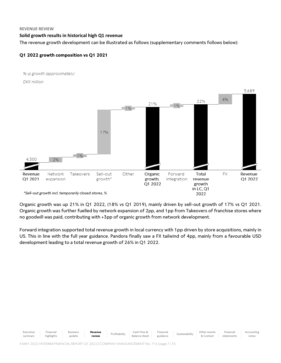### **REVENUE REVIEW**

### **Solid growth results in historical high Q1 revenue**

The revenue growth development can be illustrated as follows (supplementary comments follows below):

### **Q1 2022 growth composition vs Q1 2021**



Organic growth was up 21% in Q1 2022, (18% vs Q1 2019), mainly driven by sell-out growth of 17% vs Q1 2021. Organic growth was further fuelled by network expansion of 2pp, and 1pp from Takeovers of franchise stores where no goodwill was paid, contributing with +3pp of organic growth from network development.

Forward integration supported total revenue growth in local currency with 1pp driven by store acquisitions, mainly in US. This in line with the full year guidance. Pandora finally saw a FX tailwind of 4pp, mainly from a favourable USD development leading to a total revenue growth of 26% in Q1 2022.

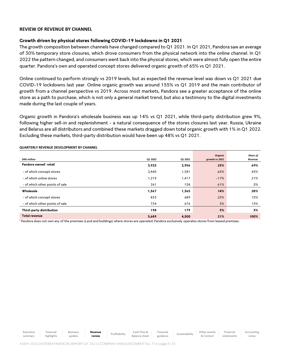### **REVIEW OF REVENUE BY CHANNEL**

### **Growth driven by physical stores following COVID-19 lockdowns in Q1 2021**

The growth composition between channels have changed compared to Q1 2021. In Q1 2021, Pandora saw an average of 30% temporary store closures, which drove consumers from the physical network into the online channel. In Q1 2022 the pattern changed, and consumers went back into the physical stores, which were almost fully open the entire quarter. Pandora's own and operated concept stores delivered organic growth of 65% vs Q1 2021.

Online continued to perform strongly vs 2019 levels, but as expected the revenue level was down vs Q1 2021 due COVID-19 lockdowns last year. Online organic growth was around 155% vs Q1 2019 and the main contributor of growth from a channel perspective vs 2019. Across most markets, Pandora see a greater acceptance of the online store as a path to purchase, which is not only a general market trend, but also a testimony to the digital investments made during the last couple of years.

Organic growth in Pandora's wholesale business was up 14% vs Q1 2021, while third-party distribution grew 9%, following higher sell-in and replenishment - a natural consequence of the stores closures last year. Russia, Ukraine and Belarus are all distributors and combined these markets dragged down total organic growth with 1% in Q1 2022. Excluding these markets, third-party distribution would have been up 48% vs Q1 2021.

| <b>DKK</b> million                | Q1 2022 | Q1 2021 | Organic<br>growth vs 2021 | Share of<br>Revenue |
|-----------------------------------|---------|---------|---------------------------|---------------------|
| Pandora owned <sup>1</sup> retail | 3,925   | 2,956   | 25%                       | 69%                 |
| - of which concept stores         | 2,445   | 1,381   | 65%                       | 43%                 |
| - of which online stores          | 1,219   | 1,417   | $-17%$                    | 21%                 |
| - of which other points of sale   | 261     | 158     | 61%                       | 5%                  |
| Wholesale                         | 1,567   | 1,365   | 14%                       | 28%                 |
| - of which concept stores         | 833     | 689     | 23%                       | 15%                 |
| - of which other points of sale   | 734     | 676     | 5%                        | 13%                 |
| Third-party distribution          | 198     | 179     | 9%                        | 3%                  |
| <b>Total revenue</b>              | 5,689   | 4,500   | 21%                       | 100%                |

### **QUARTERLY REVENUE DEVELOPMENT BY CHANNEL**

Executive

Financial

Business

<sup>1</sup> Pandora does not own any of the premises (Land and buildings) where stores are operated. Pandora exclusively operates stores from leased premises.

summary highlights update **Revenue** Profitability Cash Flow & **review** Balance sheet Financial Sustainability Other events & Contact

Financial statements Accounting notes

**Revenue**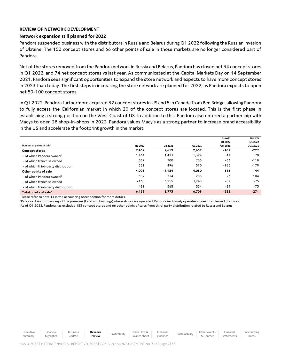### **REVIEW OF NETWORK DEVELOPMENT**

### **Network expansion still planned for 2022**

Pandora suspended business with the distributors in Russia and Belarus during Q1 2022 following the Russian invasion of Ukraine. The 153 concept stores and 66 other points of sale in those markets are no longer considered part of Pandora.

Net of the stores removed from the Pandora network in Russia and Belarus, Pandora has closed net 34 concept stores in Q1 2022, and 74 net concept stores vs last year. As communicated at the Capital Markets Day on 14 September 2021, Pandora sees significant opportunities to expand the store network and expects to have more concept stores in 2023 than today. The first steps in increasing the store network are planned for 2022, as Pandora expects to open net 50-100 concept stores.

In Q1 2022, Pandora furthermore acquired 32 concept stores in US and 5 in Canada from Ben Bridge, allowing Pandora to fully access the Californian market in which 20 of the concept stores are located. This is the first phase in establishing a strong position on the West Coast of US. In addition to this, Pandora also entered a partnership with Macys to open 28 shop-in-shops in 2022. Pandora values Macy's as a strong partner to increase brand accessibility in the US and accelerate the footprint growth in the market.

|                                       |         |         |         | Growth   | Growth   |
|---------------------------------------|---------|---------|---------|----------|----------|
|                                       |         |         |         | Q1 2022  | Q1 2022  |
| Number of points of sale <sup>1</sup> | Q1 2022 | Q4 2021 | Q1 2021 | /Q4 2021 | /Q1 2021 |
| <b>Concept stores</b>                 | 2,432   | 2,619   | 2,659   | $-187$   | $-227$   |
| - of which Pandora owned <sup>2</sup> | 1,464   | 1,423   | 1,394   | 41       | 70       |
| - of which franchise owned            | 637     | 700     | 755     | $-63$    | $-118$   |
| - of which third-party distribution   | 331     | 496     | 510     | $-165$   | $-179$   |
| Other points of sale                  | 4,006   | 4,154   | 4,050   | $-148$   | $-44$    |
| - of which Pandora owned <sup>2</sup> | 357     | 334     | 253     | 23       | 104      |
| - of which franchise owned            | 3,168   | 3,255   | 3,243   | $-87$    | $-75$    |
| - of which third-party distribution   | 481     | 565     | 554     | $-84$    | $-73$    |
| Total points of sale <sup>3</sup>     | 6,438   | 6.773   | 6.709   | $-335$   | $-271$   |

<sup>1</sup>Please refer to note 14 in the accounting notes section for more details.

<sup>2</sup>Pandora does not own any of the premises (Land and buildings) where stores are operated. Pandora exclusively operates stores from leased premises. <sup>3</sup>As of Q1 2022, Pandora has excluded 153 concept stores and 66 other points of sales from third-party distribution related to Russia and Belarus

Executive summary Financial highlights Business update **Revenue Revenue** Profitability Cash Flow & Balance sheet Financial Sustainability Other events & Contact Financial statements Accounting notes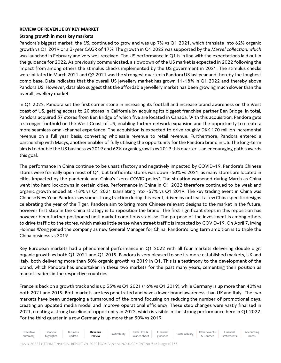### **REVIEW OF REVENUE BY KEY MARKET**

### **Strong growth in most key markets**

Pandora's biggest market, the *US*, continued to grow and was up 7% vs Q1 2021, which translate into 62% organic growth vs Q1 2019 or a 3-year CAGR of 17%. The growth in Q1 2022 was supported by the *Marvel collection, which was* launched in February and very well received*.* The US performance in Q1 is in line with the expectations laid out in the guidance for 2022. As previously communicated, a slowdown of the US market is expected in 2022 following the impact from among others the stimulus checks implemented by the US government in 2021. The stimulus checks were initiated in March 2021 and Q2 2021 was the strongest quarter in Pandora US last year and thereby the toughest comp base. Data indicates that the overall US jewellery market has grown 11-18% in Q1 2022 and thereby above Pandora US. However, data also suggest that the affordable jewellery market has been growing much slower than the overall jewellery market.

In Q1 2022, Pandora set the first corner stone in increasing its footfall and increase brand awareness on the West coast of US, getting access to 20 stores in California by acquiring its biggest franchise partner Ben Bridge. In total, Pandora acquired 37 stores from Ben Bridge of which five are located in Canada. With this acquisition, Pandora gets a stronger foothold on the West Coast of US, enabling further network expansion and the opportunity to create a more seamless omni-channel experience. The acquisition is expected to drive roughly DKK 170 million incremental revenue on a full year basis, converting wholesale revenue to retail revenue. Furthermore, Pandora entered a partnership with Macys, another enabler of fully utilising the opportunity for the Pandora brand in US. The long-term aim is to double the US business vs 2019 and 62% organic growth vs 2019 this quarter is an encouraging path towards this goal.

The performance in China continue to be unsatisfactory and negatively impacted by COVID-19. Pandora's Chinese stores were formally open most of Q1, but traffic into stores was down -50% vs 2021, as many stores are located in cities impacted by the pandemic and China's "zero-COVID policy". The situation worsened during March as China went into hard lockdowns in certain cities. Performance in China in Q1 2022 therefore continued to be weak and organic growth ended at -18% vs Q1 2021 translating into -57% vs Q1 2019. The key trading event in China was Chinese New Year. Pandora saw some strong traction during this event, driven by not least a few China specific designs celebrating the year of the Tiger. Pandora aim to bring more Chinese relevant designs to the market in the future, however first step in the China strategy is to reposition the brand. The first significant steps in this reposition has however been further postponed until market conditions stabilise. The purpose of the investment is among others to drive traffic to the stores, which makes little sense when street traffic is impacted by COVID-19. On April 7, Irving Holmes Wong joined the company as new General Manager for China. Pandora's long term ambition is to triple the China business vs 2019

Key European markets had a phenomenal performance in Q1 2022 with all four markets delivering double digit organic growth vs both Q1 2021 and Q1 2019. Pandora is very pleased to see its more established markets, UK and Italy, both delivering more than 30% organic growth vs 2019 in Q1. This is a testimony to the development of the brand, which Pandora has undertaken in these two markets for the past many years, cementing their position as market leaders in the respective countries.

France is back on a growth track and is up 35% vs Q1 2021 (16% vs Q1 2019), while Germany is up more than 40% vs both 2021 and 2019. Both markets are less penetrated and have a lower brand awareness than UK and Italy. The two markets have been undergoing a turnaround of the brand focusing on reducing the number of promotional days, creating an updated media model and improve operational efficiency. These step changes were vastly finalised in 2021, creating a strong baseline of opportunity in 2022, which is visible in the strong performance here in Q1 2022. For the third quarter in a row Germany is up more than 30% vs 2019.

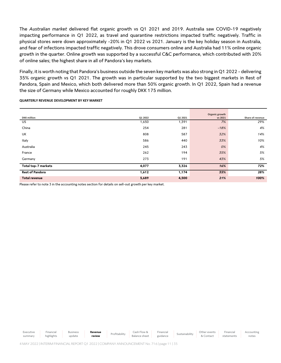The *Australian market* delivered flat organic growth vs Q1 2021 and 2019. Australia saw COVID-19 negatively impacting performance in Q1 2022, as travel and quarantine restrictions impacted traffic negatively. Traffic in physical stores were down approximately -20% in Q1 2022 vs 2021. January is the key holiday season in Australia, and fear of infections impacted traffic negatively. This drove consumers online and Australia had 11% online organic growth in the quarter. Online growth was supported by a successful C&C performance, which contributed with 20% of online sales; the highest share in all of Pandora's key markets.

Finally, it is worth noting that Pandora's business outside the seven key markets was also strong in Q1 2022 - delivering 35% organic growth vs Q1 2021. The growth was in particular supported by the two biggest markets in Rest of Pandora, Spain and Mexico, which both delivered more than 50% organic growth. In Q1 2022, Spain had a revenue the size of Germany while Mexico accounted for roughly DKK 175 million.

**QUARTERLY REVENUE DEVELOPMENT BY KEY MARKET**

|                        |         |         | Organic growth |                  |
|------------------------|---------|---------|----------------|------------------|
| <b>DKK</b> million     | Q1 2022 | Q1 2021 | vs 2021        | Share of revenue |
| <b>US</b>              | 1,650   | 1,391   | 7%             | 29%              |
| China                  | 254     | 281     | $-18%$         | 4%               |
| UK                     | 808     | 587     | 32%            | 14%              |
| Italy                  | 586     | 440     | 33%            | 10%              |
| Australia              | 245     | 243     | 0%             | 4%               |
| France                 | 262     | 194     | 35%            | 5%               |
| Germany                | 273     | 191     | 43%            | 5%               |
| Total top-7 markets    | 4,077   | 3,326   | 16%            | 72%              |
| <b>Rest of Pandora</b> | 1,612   | 1,174   | 35%            | 28%              |
| <b>Total revenue</b>   | 5,689   | 4,500   | 21%            | 100%             |

Please refer to note 3 in the accounting notes section for details on sell-out growth per key market.

Executive summary Financial highlights Business update **Revenue Revenue** Profitability Cash Flow & Balance sheet Financial Sustainability Other events & Contact Financial statements

Accounting notes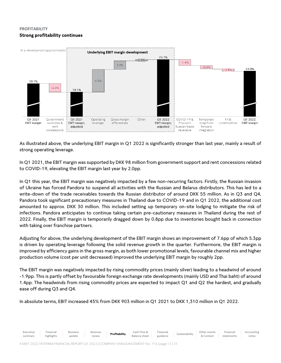### **PROFITABILITY Strong profitability continues**



As illustrated above, the underlying EBIT margin in Q1 2022 is significantly stronger than last year, mainly a result of strong operating leverage.

In Q1 2021, the EBIT margin was supported by DKK 98 million from government support and rent concessions related to COVID-19, elevating the EBIT margin last year by 2.0pp.

In Q1 this year, the EBIT margin was negatively impacted by a few non-recurring factors. Firstly, the Russian invasion of Ukraine has forced Pandora to suspend all activities with the Russian and Belarus distributors. This has led to a write-down of the trade receivables towards the Russian distributor of around DKK 55 million. As in Q3 and Q4, Pandora took significant precautionary measures in Thailand due to COVID-19 and in Q1 2022, the additional cost amounted to approx. DKK 30 million. This included setting up temporary on-site lodging to mitigate the risk of infections. Pandora anticipates to continue taking certain pre-cautionary measures in Thailand during the rest of 2022. Finally, the EBIT margin is temporarily dragged down by 0.8pp due to inventories bought back in connection with taking over franchise partners.

Adjusting for above, the underlying development of the EBIT margin shows an improvement of 7.6pp of which 5.3pp is driven by operating leverage following the solid revenue growth in the quarter. Furthermore, the EBIT margin is improved by efficiency gains in the gross margin, as both lower promotional levels, favourable channel mix and higher production volume (cost per unit decreased) improved the underlying EBIT margin by roughly 2pp.

The EBIT margin was negatively impacted by rising commodity prices (mainly silver) leading to a headwind of around -1.9pp. This is partly offset by favourable foreign exchange rate developments (mainly USD and Thai baht) of around 1.4pp. The headwinds from rising commodity prices are expected to impact Q1 and Q2 the hardest, and gradually ease off during Q3 and Q4.

In absolute terms, EBIT increased 45% from DKK 903 million in Q1 2021 to DKK 1,310 million in Q1 2022.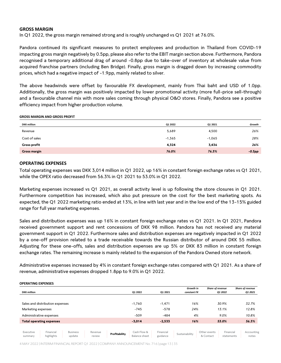### **GROSS MARGIN**

In Q1 2022, the gross margin remained strong and is roughly unchanged vs Q1 2021 at 76.0%.

Pandora continued its significant measures to protect employees and production in Thailand from COVID-19 impacting gross margin negatively by 0.5pp, please also refer to the EBIT margin section above. Furthermore, Pandora recognised a temporary additional drag of around -0.8pp due to take-over of inventory at wholesale value from acquired franchise partners (including Ben Bridge). Finally, gross margin is dragged down by increasing commodity prices, which had a negative impact of -1.9pp, mainly related to silver.

The above headwinds were offset by favourable FX development, mainly from Thai baht and USD of 1.0pp. Additionally, the gross margin was positively impacted by lower promotional activity (more full-price sell-through) and a favourable channel mix with more sales coming through physical O&O stores. Finally, Pandora see a positive efficiency impact from higher production volume.

### **GROSS MARGIN AND GROSS PROFIT**

| <b>DKK</b> million  | Q1 2022  | Q1 2021  | Growth    |
|---------------------|----------|----------|-----------|
| Revenue             | 5,689    | 4,500    | 26%       |
| Cost of sales       | $-1,365$ | $-1,065$ | 28%       |
| <b>Gross profit</b> | 4,324    | 3,436    | 26%       |
| <b>Gross margin</b> | 76.0%    | 76.3%    | $-0.3$ pp |

### **OPERATING EXPENSES**

Total operating expenses was DKK 3,014 million in Q1 2022, up 16% in constant foreign exchange rates vs Q1 2021, while the OPEX ratio decreased from 56.3% in Q1 2021 to 53.0% in Q1 2022.

Marketing expenses increased vs Q1 2021, as overall activity level is up following the store closures in Q1 2021. Furthermore competition has increased, which also put pressure on the cost for the best marketing spots. As expected, the Q1 2022 marketing ratio ended at 13%, in line with last year and in the low end of the 13-15% guided range for full year marketing expenses.

Sales and distribution expenses was up 16% in constant foreign exchange rates vs Q1 2021. In Q1 2021, Pandora received government support and rent concessions of DKK 98 million. Pandora has not received any material government support in Q1 2022. Furthermore sales and distribution expenses are negatively impacted in Q1 2022 by a one-off provision related to a trade receivable towards the Russian distributor of around DKK 55 million. Adjusting for these one-offs, sales and distribution expenses are up 5% or DKK 83 million in constant foreign exchange rates. The remaining increase is mainly related to the expansion of the Pandora Owned store network.

Administrative expenses increased by 4% in constant foreign exchange rates compared with Q1 2021. As a share of revenue, administrative expenses dropped 1.8pp to 9.0% in Q1 2022.

### **OPERATING EXPENSES**

|                      |                                 |                           |                   |               |                              |                       | Growth in      | Share of revenue          |                         | Share of revenue    |
|----------------------|---------------------------------|---------------------------|-------------------|---------------|------------------------------|-----------------------|----------------|---------------------------|-------------------------|---------------------|
| <b>DKK</b> million   |                                 |                           |                   |               | Q1 2022                      | 01 2021               | constant FX    |                           | Q1 2022                 | Q1 2021             |
|                      |                                 |                           |                   |               |                              |                       |                |                           |                         |                     |
|                      | Sales and distribution expenses |                           |                   |               | $-1,760$                     | $-1,471$              | 16%            |                           | 30.9%                   | 32.7%               |
| Marketing expenses   |                                 |                           |                   |               | $-745$                       | $-578$                | 24%            |                           | 13.1%                   | 12.8%               |
|                      | Administrative expenses         |                           |                   |               | $-509$                       | $-484$                | 4%             |                           | 9.0%                    | 10.8%               |
|                      | <b>Total operating expenses</b> |                           |                   |               | $-3,014$                     | $-2,533$              | 16%            |                           | 53.0%                   | 56.3%               |
|                      |                                 |                           |                   |               |                              |                       |                |                           |                         |                     |
| Executive<br>summary | Financial<br>highlights         | <b>Business</b><br>update | Revenue<br>review | Profitability | Cash Flow &<br>Balance sheet | Financial<br>guidance | Sustainability | Other events<br>& Contact | Financial<br>statements | Accounting<br>notes |

4 MAY 2022 | INTERIM FINANCIAL REPORT Q1 2022 | COMPANY ANNOUNCEMENT No. 716 | page 13 | 35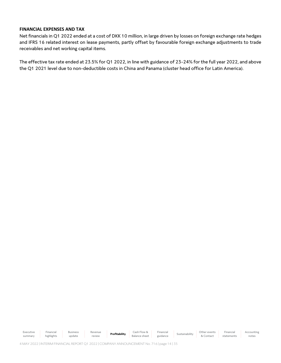### **FINANCIAL EXPENSES AND TAX**

Net financials in Q1 2022 ended at a cost of DKK 10 million, in large driven by losses on foreign exchange rate hedges and IFRS 16 related interest on lease payments, partly offset by favourable foreign exchange adjustments to trade receivables and net working capital items.

The effective tax rate ended at 23.5% for Q1 2022, in line with guidance of 23-24% for the full year 2022, and above the Q1 2021 level due to non-deductible costs in China and Panama (cluster head office for Latin America).

Executive summary Financial highlights Business update Revenue Revenue **Profitability** Cash Flow & Cash Flow Bell Cash Plow & Balance sheet Financial Financial Sustainability Other events<br>guidance Sustainability & Contact & Contact Financial statements Accounting notes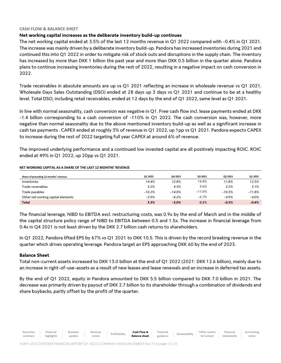### **CASH FLOW & BALANCE SHEET**

### **Net working capital increases as the deliberate inventory build-up continues**

The net working capital ended at 3.5% of the last 12 months revenue in Q1 2022 compared with -0.4% in Q1 2021. The increase was mainly driven by a deliberate inventory build-up. Pandora has increased inventories during 2021 and continued this into Q1 2022 in order to mitigate risk of stock outs and disruptions in the supply chain. The inventory has increased by more than DKK 1 billion the past year and more than DKK 0.5 billion in the quarter alone. Pandora plans to continue increasing inventories during the rest of 2022, resulting in a negative impact on cash conversion in 2022.

Trade receivables in absolute amounts are up vs Q1 2021 reflecting an increase in wholesale revenue vs Q1 2021. Wholesale Days Sales Outstanding (DSO) ended at 28 days up 3 days vs Q1 2021 and continue to be at a healthy level. Total DSO, including retail receivables, ended at 12 days by the end of Q1 2022, same level as Q1 2021.

In line with normal seasonality, cash conversion was negative in Q1. Free cash flow incl. lease payments ended at DKK -1.4 billion corresponding to a cash conversion of -110% in Q1 2022. The cash conversion was, however, more negative than normal seasonality due to the above mentioned inventory build-up as well as a significant increase in cash tax payments . CAPEX ended at roughly 3% of revenue in Q1 2022, up 1pp vs Q1 2021. Pandora expects CAPEX to increase during the rest of 2022 targeting full year CAPEX at around 6% of revenue.

The improved underlying performance and a continued low invested capital are all positively impacting ROIC. ROIC ended at 49% in Q1 2022, up 20pp vs Q1 2021.

### **NET WORKING CAPITAL AS A SHARE OF THE LAST 12 MONTHS' REVENUE**

| Share of preceding 12 months' revenue | Q1 2022  | Q4 2021  | Q3 2021  | Q2 2021  | Q1 2021  |
|---------------------------------------|----------|----------|----------|----------|----------|
| Inventories                           | 14.4%    | 12.8%    | 14.4%    | 11.8%    | 12.3%    |
| Trade receivables                     | 3.2%     | 4.3%     | 3.6%     | 3.2%     | 3.1%     |
| Trade payables                        | $-10.2%$ | $-14.0%$ | $-11.0%$ | $-10.3%$ | $-11.8%$ |
| Other net working capital elements    | $-3.9%$  | $-8.2%$  | $-6.7%$  | $-4.9%$  | $-4.0%$  |
| <b>Total</b>                          | 3.5%     | $-5.0%$  | 0.2%     | $-0.3%$  | $-0.4%$  |

The financial leverage, NIBD to EBITDA excl. restructuring costs, was 0.9x by the end of March and in the middle of the capital structure policy range of NIBD to EBITDA between 0.5 and 1.5x. The increase in financial leverage from 0.4x in Q4 2021 is not least driven by the DKK 2.7 billion cash returns to shareholders.

In Q1 2022, Pandora lifted EPS by 67% vs Q1 2021 to DKK 10.5. This is driven by the record breaking revenue in the quarter which drives operating leverage. Pandora target an EPS approaching DKK 60 by the end of 2023.

### **Balance Sheet**

Executive

Financial

Business

Total non-current assets increased to DKK 13.0 billion at the end of Q1 2022 (2021: DKK 12.6 billion), mainly due to an increase in right-of-use-assets as a result of new leases and lease renewals and an increase in deferred tax assets.

By the end of Q1 2022, equity in Pandora amounted to DKK 5.5 billion compared to DKK 7.0 billion in 2021. The decrease was primarily driven by payout of DKK 2.7 billion to its shareholder through a combination of dividends and share buybacks, partly offset by the profit of the quarter.

Financial

Accounting notes

Revenue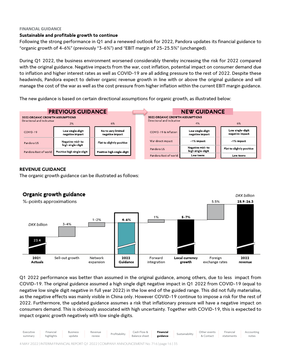### **FINANCIAL GUIDANCE**

### **Sustainable and profitable growth to continue**

Following the strong performance in Q1 and a renewed outlook for 2022, Pandora updates its financial guidance to "organic growth of 4-6%" (previously "3-6%") and "EBIT margin of 25-25.5%" (unchanged).

During Q1 2022, the business environment worsened considerably thereby increasing the risk for 2022 compared with the original guidance. Negative impacts from the war, cost inflation, potential impact on consumer demand due to inflation and higher interest rates as well as COVID-19 are all adding pressure to the rest of 2022. Despite these headwinds, Pandora expect to deliver organic revenue growth in line with or above the original guidance and will manage the cost of the war as well as the cost pressure from higher inflation within the current EBIT margin guidance.

The new guidance is based on certain directional assumptions for organic growth, as illustrated below:



### **REVENUE GUIDANCE**

The organic growth guidance can be illustrated as follows:



Q1 2022 performance was better than assumed in the original guidance, among others, due to less impact from COVID-19. The original guidance assumed a high single digit negative impact in Q1 2022 from COVID-19 (equal to negative low single digit negative in full year 2022) in the low end of the guided range. This did not fully materialise, as the negative effects was mainly visible in China only. However COVID-19 continue to impose a risk for the rest of 2022. Furthermore, the updated guidance assumes a risk that inflationary pressure will have a negative impact on consumers demand. This is obviously associated with high uncertainty. Together with COVID-19, this is expected to impact organic growth negatively with low single digits.

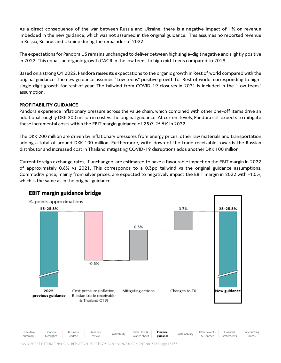As a direct consequence of the war between Russia and Ukraine, there is a negative impact of 1% on revenue imbedded in the new guidance, which was not assumed in the original guidance. This assumes no reported revenue in Russia, Belarus and Ukraine during the remainder of 2022.

The expectations for Pandora US remains unchanged to deliver between high single-digit negative and slightly positive in 2022. This equals an organic growth CAGR in the low teens to high mid-teens compared to 2019.

Based on a strong Q1 2022, Pandora raises its expectations to the organic growth in Rest of world compared with the original guidance. The new guidance assumes "Low teens" positive growth for Rest of world, corresponding to highsingle digit growth for rest of year. The tailwind from COVID-19 closures in 2021 is included in the "Low teens" assumption.

### **PROFITABILITY GUIDANCE**

Pandora experience inflationary pressure across the value chain, which combined with other one-off items drive an additional roughly DKK 200 million in cost vs the original guidance. At current levels, Pandora still expects to mitigate these incremental costs within the EBIT margin guidance of *25.0-25.5%* in 2022.

The DKK 200 million are driven by inflationary pressures from energy prices, other raw materials and transportation adding a total of around DKK 100 million. Furthermore, write-down of the trade receivable towards the Russian distributor and increased cost in Thailand mitigating COVID-19 disruptions adds another DKK 100 million.

Current foreign exchange rates, if unchanged, are estimated to have a favourable impact on the EBIT margin in 2022 of approximately 0.8% vs 2021. This corresponds to a 0.3pp tailwind vs the original guidance assumptions. Commodity price, mainly from silver prices, are expected to negatively impact the EBIT margin in 2022 with -1.0%, which is the same as in the original guidance.



### EBIT margin guidance bridge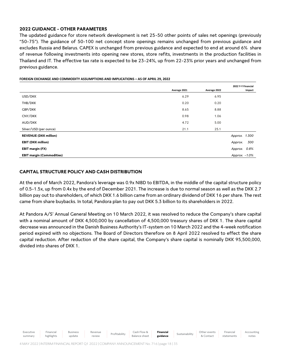### **2022 GUIDANCE - OTHER PARAMETERS**

The updated guidance for store network development is net 25-50 other points of sales net openings (previously "50-75"). The guidance of 50-100 net concept store openings remains unchanged from previous guidance and excludes Russia and Belarus. CAPEX is unchanged from previous guidance and expected to end at around 6% share of revenue following investments into opening new stores, store refits, investments in the production facilities in Thailand and IT. The effective tax rate is expected to be 23-24%, up from 22-23% prior years and unchanged from previous guidance.

|                                  |              |              | 2022 Y-Y Financial |
|----------------------------------|--------------|--------------|--------------------|
|                                  | Average 2021 | Average 2022 | Impact             |
| USD/DKK                          | 6.29         | 6.95         |                    |
| THB/DKK                          | 0.20         | 0.20         |                    |
| GBP/DKK                          | 8.65         | 8.88         |                    |
| CNY/DKK                          | 0.98         | 1.06         |                    |
| AUD/DKK                          | 4.72         | 5.00         |                    |
| Silver/USD (per ounce)           | 21.1         | 25.1         |                    |
| <b>REVENUE (DKK million)</b>     |              |              | Approx. 1.300      |
| <b>EBIT (DKK million)</b>        |              |              | 300<br>Approx.     |
| EBIT margin (FX)                 |              |              | 0.8%<br>Approx.    |
| <b>EBIT margin (Commodities)</b> |              |              | Approx. - 1.0%     |

### **FOREIGN EXCHANGE AND COMMODITY ASSUMPTIONS AND IMPLICATIONS – AS OF APRIL 29, 2022**

### **CAPITAL STRUCTURE POLICY AND CASH DISTRIBUTION**

At the end of March 2022, Pandora's leverage was 0.9x NIBD to EBITDA, in the middle of the capital structure policy of 0.5-1.5x, up from 0.4x by the end of December 2021. The increase is due to normal season as well as the DKK 2.7 billion pay out to shareholders, of which DKK 1.6 billion came from an ordinary dividend of DKK 16 per share. The rest came from share buybacks. In total, Pandora plan to pay out DKK 5.3 billion to its shareholders in 2022.

At Pandora A/S' Annual General Meeting on 10 March 2022, it was resolved to reduce the Company's share capital with a nominal amount of DKK 4,500,000 by cancellation of 4,500,000 treasury shares of DKK 1. The share capital decrease was announced in the Danish Business Authority's IT-system on 10 March 2022 and the 4-week notification period expired with no objections. The Board of Directors therefore on 8 April 2022 resolved to effect the share capital reduction. After reduction of the share capital, the Company's share capital is nominally DKK 95,500,000, divided into shares of DKK 1.

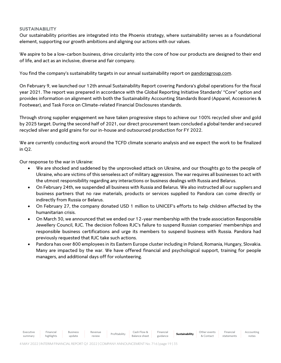### **SUSTAINABILITY**

[Our sustainability priorities are integrated into the Phoenix strategy, where sustainability serves as a foundational](pp://Other%20statements/Statement%20of%20corporate%20social%20responsibility?taxonomy=DKGAAP&labellanguage=en)  [element, supporting our growth ambitions and aligning our actions with our values.](pp://Other%20statements/Statement%20of%20corporate%20social%20responsibility?taxonomy=DKGAAP&labellanguage=en) 

[We aspire to be a low-carbon business, drive circularity into the core of how our products are designed to their end](pp://Other%20statements/Statement%20of%20corporate%20social%20responsibility?taxonomy=DKGAAP&labellanguage=en)  [of life, and act as an inclusive, diverse and fair company.](pp://Other%20statements/Statement%20of%20corporate%20social%20responsibility?taxonomy=DKGAAP&labellanguage=en)

You find the company's sustainability targets in our annual sustainability report on [pandoragroup.com.](https://pandoragroup.com/sustainability/resources/sustainability-reports)

[On February 9, we launched our 12th annual Sustainability Report covering Pandora's global operations for the fiscal](pp://Other%20statements/Statement%20of%20corporate%20social%20responsibility?taxonomy=DKGAAP&labellanguage=en)  year 2021. The r[eport was prepared in accordance with the Global Reporting Initiative Standards' "Core" option and](pp://Other%20statements/Statement%20of%20corporate%20social%20responsibility?taxonomy=DKGAAP&labellanguage=en)  [provides information on alignment with both the Sustainability Accounting Standards Board \(Apparel, Accessories &](pp://Other%20statements/Statement%20of%20corporate%20social%20responsibility?taxonomy=DKGAAP&labellanguage=en)  [Footwear\), and Task Force on Climate-related Financial Disclosures standards.](pp://Other%20statements/Statement%20of%20corporate%20social%20responsibility?taxonomy=DKGAAP&labellanguage=en) 

[Through strong supplier engagement we have taken progressive steps to achieve our 100% recycled silver and gold](pp://Other%20statements/Statement%20of%20corporate%20social%20responsibility?taxonomy=DKGAAP&labellanguage=en)  [by 2025 target. During the second half of 2021, our direct procurement team concluded a global tender and secured](pp://Other%20statements/Statement%20of%20corporate%20social%20responsibility?taxonomy=DKGAAP&labellanguage=en)  [recycled silver and gold grains for our in-house and outsourced production for FY 2022.](pp://Other%20statements/Statement%20of%20corporate%20social%20responsibility?taxonomy=DKGAAP&labellanguage=en) 

[We are currently conducting work around the TCFD climate scenario analysis and we expect the work to](pp://Other%20statements/Statement%20of%20corporate%20social%20responsibility?taxonomy=DKGAAP&labellanguage=en) be finalized [in Q2.](pp://Other%20statements/Statement%20of%20corporate%20social%20responsibility?taxonomy=DKGAAP&labellanguage=en)

[Our response to the war in Ukraine:](pp://Other%20statements/Statement%20of%20corporate%20social%20responsibility?taxonomy=DKGAAP&labellanguage=en) 

- [We are shocked and saddened by the unprovoked attack on Ukraine, and our thoughts go to the people of](pp://Other%20statements/Statement%20of%20corporate%20social%20responsibility?taxonomy=DKGAAP&labellanguage=en)  Ukraine, who are victims of [this senseless act of military aggression. The war requires all businesses to act with](pp://Other%20statements/Statement%20of%20corporate%20social%20responsibility?taxonomy=DKGAAP&labellanguage=en)  [the utmost responsibility regarding any interactions or business dealings with Russia and Belarus.](pp://Other%20statements/Statement%20of%20corporate%20social%20responsibility?taxonomy=DKGAAP&labellanguage=en)
- [On February 24th, we suspended all business with Russia and Belarus. We also instructed all our suppliers and](pp://Other%20statements/Statement%20of%20corporate%20social%20responsibility?taxonomy=DKGAAP&labellanguage=en)  [business partners that no raw materials, products or services supplied to Pandora can come directly or](pp://Other%20statements/Statement%20of%20corporate%20social%20responsibility?taxonomy=DKGAAP&labellanguage=en)  [indirectly from Russia or Belarus.](pp://Other%20statements/Statement%20of%20corporate%20social%20responsibility?taxonomy=DKGAAP&labellanguage=en)
- [On February 27, the company donated USD 1 million to UNICEF's efforts to help](pp://Other%20statements/Statement%20of%20corporate%20social%20responsibility?taxonomy=DKGAAP&labellanguage=en) children affected by the [humanitarian crisis.](pp://Other%20statements/Statement%20of%20corporate%20social%20responsibility?taxonomy=DKGAAP&labellanguage=en)
- [On March 30, we announced that we ended our 12-year membership with the trade association Responsible](pp://Other%20statements/Statement%20of%20corporate%20social%20responsibility?taxonomy=DKGAAP&labellanguage=en)  [Jewellery Council, RJC. The decision follows RJC's failure to suspend Russian companies' memberships and](pp://Other%20statements/Statement%20of%20corporate%20social%20responsibility?taxonomy=DKGAAP&labellanguage=en)  [responsible business certifications and urge its members to suspend business with Russia. Pandora had](pp://Other%20statements/Statement%20of%20corporate%20social%20responsibility?taxonomy=DKGAAP&labellanguage=en)  [previously requested that RJC take such actions.](pp://Other%20statements/Statement%20of%20corporate%20social%20responsibility?taxonomy=DKGAAP&labellanguage=en)
- [Pandora has over 800 employees in its Eastern Europe cluster including in Poland, Romania, Hungary, Slovakia.](pp://Other%20statements/Statement%20of%20corporate%20social%20responsibility?taxonomy=DKGAAP&labellanguage=en)  [Many are impacted by the war. We have offered financial and psychological support, training for people](pp://Other%20statements/Statement%20of%20corporate%20social%20responsibility?taxonomy=DKGAAP&labellanguage=en)  [managers, and additional days off for volunteering.](pp://Other%20statements/Statement%20of%20corporate%20social%20responsibility?taxonomy=DKGAAP&labellanguage=en)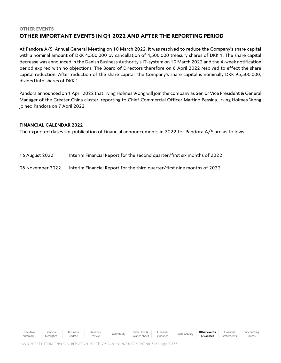### **OTHER EVENTS OTHER IMPORTANT EVENTS IN Q1 2022 AND AFTER THE REPORTING PERIOD**

At [Pandora A/S](pp://General%20Data/Name%20of%20parent%20entity?taxonomy=ESEF&labellanguage=en&allowhtml=false)' Annual General Meeting on 10 March 2022, it was resolved to reduce the Company's share capital with a nominal amount of DKK 4,500,000 by cancellation of 4,500,000 treasury shares of DKK 1. The share capital decrease was announced in the Danish Business Authority's IT-system on 10 March 2022 and the 4-week notification period expired with no objections. The Board of Directors therefore on 8 April 2022 resolved to effect the share capital reduction. After reduction of the share capital, the Company's share capital is nominally DKK 95,500,000, divided into shares of DKK 1.

Pandora announced on 1 April 2022 that Irving Holmes Wong will join the company as Senior Vice President & General Manager of the Greater China cluster, reporting to Chief Commercial Officer Martino Pessina. Irving Holmes Wong joined Pandora on 7 April 2022.

### **FINANCIAL CALENDAR 2022**

The expected dates for publication of financial announcements in 2022 for [Pandora](pp://General%20Data/Name%20of%20ultimate%20parent%20of%20group?taxonomy=ESEF&labellanguage=en&allowhtml=false) [A/S](pp://General%20Data/Legal%20form%20of%20entity?taxonomy=ESEF&labellanguage=en&allowhtml=false) are as follows:

| 16 August 2022 | Interim Financial Report for the second quarter/first six months of 2022 |
|----------------|--------------------------------------------------------------------------|
|----------------|--------------------------------------------------------------------------|

08 November 2022 Interim Financial Report for the third quarter/first nine months of 2022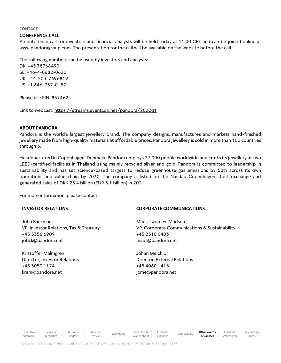### **CONTACT**

### **CONFERENCE CALL**

A conference call for investors and financial analysts will be held today at 11.00 CET and can be joined online at www.pandoragroup.com. The presentation for the call will be available on the website before the call.

The following numbers can be used by investors and analysts:

DK: +45 78768490 SE: +46-4-0682-0620 UK: +44-203-7696819 US: +1 646-787-0157

Please use PIN: 837462

Link to webcast[: https://streams.eventcdn.net/pandora/2022q1](https://eur01.safelinks.protection.outlook.com/?url=https%3A%2F%2Fstreams.eventcdn.net%2Fpandora%2F2022q1&data=04%7C01%7Ckram%40pandora.net%7C52ee734bc4f94a9c487608da21e9bff1%7C656793e6d51d4bb2b5fac66ddd181a40%7C1%7C0%7C637859585093164100%7CUnknown%7CTWFpbGZsb3d8eyJWIjoiMC4wLjAwMDAiLCJQIjoiV2luMzIiLCJBTiI6Ik1haWwiLCJXVCI6Mn0%3D%7C3000&sdata=ZQ91karBeExv2YLC0yzNqDhBMorDVXNOb2YucBXl7Co%3D&reserved=0)

### **ABOUT PANDORA**

[Pandora](pp://General%20Data/Name%20of%20reporting%20entity%20or%20other%20means%20of%20identification?taxonomy=ESEF&labellanguage=en&allowhtml=false) is the world's largest jewellery brand. [The company designs, manufactures and markets hand-finished](pp://General%20Data/Description%20of%20nature%20of%20entity)  [jewellery made from high-quality materials at affordable prices.](pp://General%20Data/Description%20of%20nature%20of%20entity) Pandora jewellery is sold in more than 100 countries through 6.

Headquartered in [Copenhagen,](pp://General%20Data/Principal%20place%20of%20business?taxonomy=ESEF&labellanguage=en&allowhtml=false) [Denmark,](pp://General%20Data/Domicile%20of%20entity?taxonomy=ESEF&labellanguage=en&allowhtml=false) Pandora employs 27,000 people worldwide and crafts its jewellery at two LEED-certified facilities in Thailand using mainly recycled silver and gold. Pandora is committed to leadership in sustainability and has set science-based targets to reduce greenhouse gas emissions by 50% across its own operations and value chain by 2030. The company is listed on the Nasdaq Copenhagen stock exchange and generated sales of DKK 23.4 billion (EUR 3.1 billion) in 2021.

For more information, please contact:

### **INVESTOR RELATIONS**

John Bäckman VP, Investor Relations, Tax & Treasury +45 5356 6909 jobck@pandora.net

Kristoffer Malmgren Director, Investor Relations +45 3050 1174 kram@pandora.net

### **CORPORATE COMMUNICATIONS**

Mads Twomey-Madsen VP, Corporate Communications & Sustainability +45 2510 0403 madt@pandora.net

Johan Melchior Director, External Relations +45 4060 1415 jome@pandora.net

Executive summary

Financial highlights Business update Revenue

Revenue | Profitability | Cash Flow & Cash Plow &

Balance sheet Financial **Sustainability Other events & Contact**

Accounting notes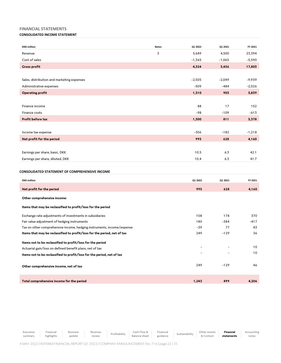### **FINANCIAL STATEMENTS**

### **CONSOLIDATED INCOME STATEMENT**

| <b>DKK</b> million                             | <b>Notes</b> | Q1 2022  | Q1 2021  | FY 2021  |
|------------------------------------------------|--------------|----------|----------|----------|
| Revenue                                        | 3            | 5,689    | 4,500    | 23,394   |
| Cost of sales                                  |              | $-1,365$ | $-1,065$ | $-5,590$ |
| <b>Gross profit</b>                            |              | 4,324    | 3,436    | 17,803   |
|                                                |              |          |          |          |
| Sales, distribution and marketing expenses     |              | $-2,505$ | $-2,049$ | $-9,939$ |
| Administrative expenses                        |              | $-509$   | $-484$   | $-2,026$ |
| <b>Operating profit</b>                        |              | 1,310    | 903      | 5,839    |
|                                                |              |          |          |          |
| Finance income                                 |              | 88       | 17       | 152      |
| Finance costs                                  |              | $-98$    | $-109$   | $-613$   |
| Profit before tax                              |              | 1,300    | 811      | 5,378    |
|                                                |              |          |          |          |
| Income tax expense                             |              | $-306$   | $-182$   | $-1,218$ |
| Net profit for the period                      |              | 995      | 628      | 4,160    |
|                                                |              |          |          |          |
| Earnings per share, basic, DKK                 |              | 10.5     | 6.3      | 42.1     |
| Earnings per share, diluted, DKK               |              | 10.4     | 6.3      | 41.7     |
|                                                |              |          |          |          |
| CONSOLIDATED STATEMENT OF COMPREHENSIVE INCOME |              |          |          |          |
|                                                |              |          |          |          |

| <b>DKK</b> million                                                       | Q1 2022 | Q1 2021 | FY 2021 |
|--------------------------------------------------------------------------|---------|---------|---------|
| Net profit for the period                                                | 995     | 628     | 4,160   |
| Other comprehensive income:                                              |         |         |         |
| Items that may be reclassified to profit/loss for the period             |         |         |         |
| Exchange rate adjustments of investments in subsidiaries                 | 108     | 178     | 370     |
| Fair value adjustment of hedging instruments                             | 180     | -384    | $-417$  |
| Tax on other comprehensive income, hedging instruments, income/expense   | $-39$   | 77      | 83      |
| Items that may be reclassified to profit/loss for the period, net of tax | 249     | $-129$  | 36      |
| Items not to be reclassified to profit/loss for the period               |         |         |         |
| Actuarial gain/loss on defined benefit plans, net of tax                 | ۰.      |         | 10      |
| Items not to be reclassified to profit/loss for the period, net of tax   |         |         | 10      |
| Other comprehensive income, net of tax                                   | 249     | $-129$  | 46      |
| Total comprehensive income for the period                                | 1,243   | 499     | 4,206   |

Executive summary Financial highlights Business update Revenue review Profitability Cash Flow & Balance sheet Financial Financial Sustainability Other events<br>guidance Sustainability & Contact & Contact **Financial statements** Accounting notes

4 MAY 2022 | INTERIM FINANCIAL REPORT Q1 2022 | COMPANY ANNOUNCEMENT No. 716 | page 22 | 35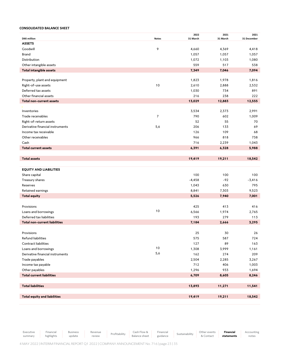### **CONSOLIDATED BALANCE SHEET**

|                                                           |                | 2022         | 2021         | 2021<br>31 December |
|-----------------------------------------------------------|----------------|--------------|--------------|---------------------|
| <b>DKK</b> million<br><b>ASSETS</b>                       | <b>Notes</b>   | 31 March     | 31 March     |                     |
| Goodwill                                                  | 9              | 4,660        | 4,369        | 4,418               |
| Brand                                                     |                | 1,057        | 1,057        | 1,057               |
| Distribution                                              |                | 1,072        | 1,103        | 1,080               |
| Other intangible assets                                   |                | 559          | 517          | 538                 |
| <b>Total intangible assets</b>                            |                | 7,349        | 7,046        | 7,094               |
|                                                           |                |              |              |                     |
| Property, plant and equipment                             |                | 1,823        | 1,978        | 1,816               |
| Right-of-use assets                                       | 10             | 2,610        | 2,888        | 2,532               |
| Deferred tax assets                                       |                | 1,030        | 734          | 891                 |
| Other financial assets                                    |                | 216          | 238          | 222                 |
| <b>Total non-current assets</b>                           |                | 13,029       | 12,883       | 12,555              |
|                                                           |                |              |              |                     |
| Inventories                                               |                | 3,534        | 2,373        | 2,991               |
| Trade receivables                                         | $\overline{7}$ | 790          | 602          | 1,009               |
| Right-of-return assets                                    |                | 52           | 55           | 70                  |
| Derivative financial instruments<br>Income tax receivable | 5,6            | 206<br>126   | 133<br>109   | 69                  |
| Other receivables                                         |                | 966          | 818          | 68<br>738           |
| Cash                                                      |                | 716          | 2,239        | 1,043               |
| <b>Total current assets</b>                               |                | 6,391        | 6,328        | 5,988               |
|                                                           |                |              |              |                     |
| <b>Total assets</b>                                       |                | 19,419       | 19,211       | 18,542              |
|                                                           |                |              |              |                     |
| <b>EQUITY AND LIABILITIES</b>                             |                |              |              |                     |
| Share capital                                             |                | 100          | 100          | 100                 |
| Treasury shares                                           |                | $-4,458$     | -92          | $-3,416$            |
| Reserves                                                  |                | 1,043        | 630          | 795                 |
| Retained earnings                                         |                | 8,841        | 7,303        | 9,523               |
| <b>Total equity</b>                                       |                | 5,526        | 7,940        | 7,001               |
|                                                           |                |              |              |                     |
| Provisions                                                |                | 425          | 413          | 416                 |
| Loans and borrowings                                      | 10             | 6,566        | 1,974        | 2,765               |
| Deferred tax liabilities                                  |                | 193          | 279          | 113                 |
| <b>Total non-current liabilities</b>                      |                | 7,184        | 2,666        | 3,295               |
|                                                           |                |              |              |                     |
| Provisions                                                |                | 25           | 30           | 26                  |
| Refund liabilities                                        |                | 575          | 587          | 724                 |
| Contract liabilities                                      | $10$           | 127          | 89           | 163                 |
| Loans and borrowings                                      | 5,6            | 1,308        | 3,999        | 1,161               |
| Derivative financial instruments                          |                | 162          | 274          | 209                 |
| Trade payables<br>Income tax payable                      |                | 2,504<br>712 | 2,285<br>406 | 3,267<br>1,003      |
| Other payables                                            |                | 1,296        | 933          | 1,694               |
| <b>Total current liabilities</b>                          |                | 6,709        | 8,605        | 8,246               |
|                                                           |                |              |              |                     |
| <b>Total liabilities</b>                                  |                | 13,893       | 11,271       | 11,541              |
|                                                           |                |              |              |                     |
| <b>Total equity and liabilities</b>                       |                | 19,419       | 19,211       | 18,542              |
|                                                           |                |              |              |                     |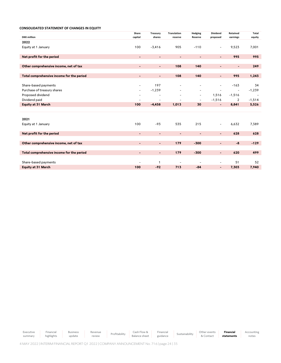|                                           | Share                        | Treasury                 | <b>Translation</b>       | Hedging                  | <b>Dividend</b>          | <b>Retained</b>          | Total    |
|-------------------------------------------|------------------------------|--------------------------|--------------------------|--------------------------|--------------------------|--------------------------|----------|
| <b>DKK</b> million                        | capital                      | shares                   | reserve                  | <b>Reserve</b>           | proposed                 | earnings                 | equity   |
| 2022                                      |                              |                          |                          |                          |                          |                          |          |
| Equity at 1 January                       | 100                          | $-3,416$                 | 905                      | $-110$                   | $\overline{\phantom{a}}$ | 9,523                    | 7,001    |
|                                           |                              |                          |                          |                          |                          |                          |          |
| Net profit for the period                 | $\overline{\phantom{a}}$     | $\overline{\phantom{a}}$ | $\overline{\phantom{a}}$ | $\blacksquare$           | ۰.                       | 995                      | 995      |
|                                           |                              |                          |                          |                          |                          |                          |          |
| Other comprehensive income, net of tax    | $\blacksquare$               | $\blacksquare$           | 108                      | 140                      | -                        | $\overline{\phantom{a}}$ | 249      |
|                                           |                              |                          |                          |                          |                          |                          |          |
| Total comprehensive income for the period | $\overline{\phantom{a}}$     | $\blacksquare$           | 108                      | 140                      | $\blacksquare$           | 995                      | 1,243    |
|                                           |                              |                          |                          |                          |                          |                          |          |
| Share-based payments                      | ۰                            | 197                      | $\overline{a}$           | $\overline{\phantom{0}}$ | $\overline{a}$           | $-163$                   | 34       |
| Purchase of treasury shares               | $\overline{\phantom{a}}$     | $-1,239$                 | $\overline{\phantom{0}}$ | $\overline{\phantom{a}}$ | $\overline{a}$           | $\overline{\phantom{a}}$ | $-1,239$ |
| Proposed dividend                         | $\overline{\phantom{a}}$     | $\overline{\phantom{a}}$ | $\overline{a}$           | $\overline{\phantom{a}}$ | 1,516                    | $-1,516$                 |          |
| Dividend paid                             | $\qquad \qquad -$            | $\overline{\phantom{0}}$ |                          | $\overline{\phantom{a}}$ | $-1,516$                 | 2                        | $-1,514$ |
| <b>Equity at 31 March</b>                 | 100                          | $-4,458$                 | 1,013                    | 30                       |                          | 8,841                    | 5,526    |
|                                           |                              |                          |                          |                          |                          |                          |          |
|                                           |                              |                          |                          |                          |                          |                          |          |
| 2021                                      |                              |                          |                          |                          |                          |                          |          |
| Equity at 1 January                       | 100                          | $-93$                    | 535                      | 215                      | $\overline{\phantom{a}}$ | 6,632                    | 7,389    |
|                                           |                              |                          |                          |                          |                          |                          |          |
| Net profit for the period                 | $\qquad \qquad \blacksquare$ | $\overline{\phantom{0}}$ | $\overline{\phantom{0}}$ |                          | $\overline{\phantom{a}}$ | 628                      | 628      |
|                                           |                              |                          |                          |                          |                          |                          |          |
| Other comprehensive income, net of tax    | $\blacksquare$               | $\blacksquare$           | 179                      | $-300$                   | $\blacksquare$           | $-8$                     | $-129$   |
|                                           |                              |                          |                          |                          |                          |                          |          |
| Total comprehensive income for the period | $\blacksquare$               | $\blacksquare$           | 179                      | $-300$                   | -                        | 620                      | 499      |
|                                           |                              |                          |                          |                          |                          |                          |          |
| Share-based payments                      | ۰                            | $\mathbf{1}$             | $\overline{a}$           |                          |                          | 51                       | 52       |
| <b>Equity at 31 March</b>                 | 100                          | $-92$                    | 713                      | $-84$                    | $\blacksquare$           | 7,303                    | 7,940    |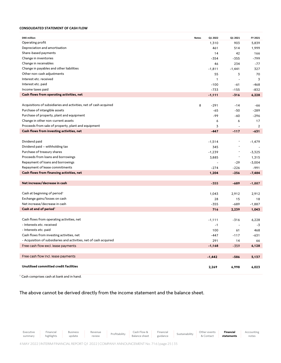### **CONSOLIDATED STATEMENT OF CASH FLOW**

| <b>DKK</b> million                                                 | <b>Notes</b> | Q1 2022        | Q1 2021                  | FY 2021        |
|--------------------------------------------------------------------|--------------|----------------|--------------------------|----------------|
| Operating profit                                                   |              | 1,310          | 903                      | 5,839          |
| Depreciation and amortisation                                      |              | 461            | 514                      | 1,999          |
| Share-based payments                                               |              | 14             | 42                       | 166            |
| Change in inventories                                              |              | $-354$         | $-355$                   | $-799$         |
| Change in receivables                                              |              | 46             | 234                      | $-77$          |
| Change in payables and other liabilities                           |              | $-1,811$       | $-1,441$                 | 327            |
| Other non-cash adjustments                                         |              | 55             | 3                        | 70             |
| Interest etc. received                                             |              | $\mathbf{1}$   | ÷,                       | 3              |
| Interest etc. paid                                                 |              | $-100$         | -61                      | $-468$         |
| Income taxes paid                                                  |              | $-733$         | $-155$                   | $-832$         |
| Cash flows from operating activities, net                          |              | $-1,111$       | $-316$                   | 6,228          |
|                                                                    |              |                |                          |                |
| Acquisitions of subsidiaries and activities, net of cash acquired  | 8            | $-291$         | $-14$                    | $-66$          |
| Purchase of intangible assets                                      |              | -65            | -50                      | $-289$         |
| Purchase of property, plant and equipment                          |              | $-99$          | -60                      | $-296$         |
| Change in other non-current assets                                 |              | 6              | 6                        | 17             |
| Proceeds from sale of property, plant and equipment                |              | 3              |                          | $\overline{2}$ |
| Cash flows from investing activities, net                          |              | $-447$         | $-117$                   | $-631$         |
|                                                                    |              |                |                          |                |
| Dividend paid                                                      |              | $-1,514$       |                          | $-1,479$       |
| Dividend paid - withholding tax                                    |              | 345            | $\overline{a}$           |                |
| Purchase of treasury shares                                        |              | $-1,239$       | $\overline{a}$           | $-3,325$       |
| Proceeds from loans and borrowings                                 |              | 3,885          | $\overline{a}$           | 1,315          |
| Repayment of loans and borrowings                                  |              | $\overline{a}$ | $-29$                    | $-3,004$       |
| Repayment of lease commitments                                     |              | $-274$         | $-226$                   | $-991$         |
| Cash flows from financing activities, net                          |              | 1,204          | $-256$                   | $-7,484$       |
|                                                                    |              |                |                          |                |
| Net increase/decrease in cash                                      |              | $-355$         | $-689$                   | $-1,887$       |
|                                                                    |              |                |                          |                |
| Cash at beginning of period <sup>1</sup>                           |              | 1,043          | 2,912                    | 2,912          |
| Exchange gains/losses on cash                                      |              | 28             | 15                       | 18             |
| Net increase/decrease in cash                                      |              | $-355$         | $-689$                   | $-1,887$       |
| Cash at end of period <sup>1</sup>                                 |              | 716            | 2,239                    | 1,043          |
|                                                                    |              |                |                          |                |
| Cash flows from operating activities, net                          |              | $-1,111$       | $-316$                   | 6,228          |
| - Interests etc. received                                          |              | $-1$           | $\overline{\phantom{a}}$ | $-3$           |
| - Interests etc. paid                                              |              | 100            | 61                       | 468            |
| Cash flows from investing activities, net                          |              | -447           | $-117$                   | $-631$         |
| - Acquisition of subsidiaries and activities, net of cash acquired |              | 291            | 14                       | 66             |
| Free cash flow excl. lease payments                                |              | $-1,168$       | $-359$                   | 6,128          |
|                                                                    |              |                |                          |                |
| Free cash flow incl. lease payments                                |              | $-1,442$       | $-586$                   | 5,137          |
|                                                                    |              |                |                          |                |
| Unutilised committed credit facilities                             |              | 2,269          | 6,998                    | 6,023          |
|                                                                    |              |                |                          |                |

<sup>1</sup> Cash comprises cash at bank and in hand.

The above cannot be derived directly from the income statement and the balance sheet.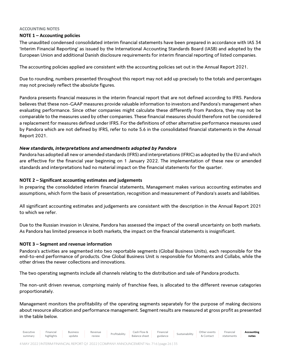### **ACCOUNTING NOTES**

### **NOTE 1 – Accounting policies**

The unaudited condensed consolidated interim financial statements have been prepared in accordance with IAS 34 'Interim Financial Reporting' as issued by the International Accounting Standards Board (IASB) and adopted by the European Union and additional Danish disclosure requirements for interim financial reporting of listed companies.

The accounting policies applied are consistent with the accounting policies set out in the Annual Report 2021.

Due to rounding, numbers presented throughout this report may not add up precisely to the totals and percentages may not precisely reflect the absolute figures.

Pandora presents financial measures in the interim financial report that are not defined according to IFRS. Pandora believes that these non-GAAP measures provide valuable information to investors and Pandora's management when evaluating performance. Since other companies might calculate these differently from Pandora, they may not be comparable to the measures used by other companies. These financial measures should therefore not be considered a replacement for measures defined under IFRS. For the definitions of other alternative performance measures used by Pandora which are not defined by IFRS, refer to note 5.6 in the consolidated financial statements in the Annual Report 2021.

### *New standards, interpretations and amendments adopted by Pandora*

Pandora has adopted all new or amended standards (IFRS) and interpretations (IFRIC) as adopted by the EU and which are effective for the financial year beginning on 1 January 2022. The implementation of these new or amended standards and interpretations had no material impact on the financial statements for the quarter.

### **NOTE 2 – Significant accounting estimates and judgements**

In preparing the consolidated interim financial statements, Management makes various accounting estimates and assumptions, which form the basis of presentation, recognition and measurement of Pandora's assets and liabilities.

All significant accounting estimates and judgements are consistent with the description in the Annual Report 2021 to which we refer.

Due to the Russian invasion in Ukraine, Pandora has assessed the impact of the overall uncertainty on both markets. As Pandora has limited presence in both markets, the impact on the financial statements is insignificant.

### **NOTE 3 – Segment and revenue information**

Pandora's activities are segmented into two reportable segments (Global Business Units), each responsible for the end-to-end performance of products. One Global Business Unit is responsible for Moments and Collabs, while the other drives the newer collections and innovations.

The two operating segments include all channels relating to the distribution and sale of Pandora products.

The non-unit driven revenue, comprising mainly of franchise fees, is allocated to the different revenue categories proportionately.

Management monitors the profitability of the operating segments separately for the purpose of making decisions about resource allocation and performance management. Segment results are measured at gross profit as presented in the table below.

| Accounting | $-$<br>Financial | Other<br>r events | Sustainability | $-$<br>Financial | $-1$<br>Cash Flow & | rofitability | Revenue | <b>Business</b> | Financial  | -xecutive |
|------------|------------------|-------------------|----------------|------------------|---------------------|--------------|---------|-----------------|------------|-----------|
| notes      | statement.       | contact           |                | guidance         | Balance sheet       |              | eview   | update          | highlights | summary   |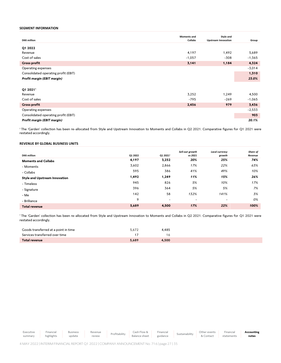### **SEGMENT INFORMATION**

|                                      | <b>Moments and</b> | Style and                  |          |
|--------------------------------------|--------------------|----------------------------|----------|
| <b>DKK</b> million                   | Collabs            | <b>Upstream Innovation</b> | Group    |
|                                      |                    |                            |          |
| Q1 2022                              |                    |                            |          |
| Revenue                              | 4,197              | 1,492                      | 5,689    |
| Cost of sales                        | $-1,057$           | $-308$                     | $-1,365$ |
| <b>Gross profit</b>                  | 3,141              | 1,184                      | 4,324    |
| Operating expenses                   |                    |                            | $-3,014$ |
| Consolidated operating profit (EBIT) |                    |                            | 1,310    |
| Profit margin (EBIT margin)          |                    |                            | 23.0%    |
|                                      |                    |                            |          |
| Q1 2021 <sup>1</sup>                 |                    |                            |          |
| Revenue                              | 3,252              | 1,249                      | 4,500    |
| Cost of sales                        | $-795$             | $-269$                     | $-1,065$ |
| <b>Gross profit</b>                  | 2,456              | 979                        | 3,436    |
| Operating expenses                   |                    |                            | $-2,533$ |
| Consolidated operating profit (EBIT) |                    |                            | 903      |
| Profit margin (EBIT margin)          |                    |                            | 20.1%    |

<sup>1</sup>The 'Garden' collection has been re-allocated from Style and Upstream Innovation to Moments and Collabs in Q2 2021. Comparative figures for Q1 2021 were restated accordingly.

### **REVENUE BY GLOBAL BUSINESS UNITS**

|                                      |         |                          | Sell-out growth          | Local currency           | Share of |
|--------------------------------------|---------|--------------------------|--------------------------|--------------------------|----------|
| <b>DKK</b> million                   | Q1 2022 | Q1 2021 <sup>1</sup>     | vs 2021                  | growth                   | Revenue  |
| <b>Moments and Collabs</b>           | 4,197   | 3,252                    | 20%                      | 25%                      | 74%      |
| - Moments                            | 3,602   | 2,866                    | 17%                      | 22%                      | 63%      |
| - Collabs                            | 595     | 386                      | 41%                      | 49%                      | 10%      |
| <b>Style and Upstream Innovation</b> | 1,492   | 1,249                    | 11%                      | 15%                      | 26%      |
| - Timeless                           | 945     | 826                      | 5%                       | 10%                      | 17%      |
| - Signature                          | 396     | 364                      | 5%                       | 5%                       | 7%       |
| - Me                                 | 142     | 58                       | 132%                     | 141%                     | 3%       |
| - Brilliance                         | 9       | $\overline{\phantom{a}}$ | $\overline{\phantom{a}}$ | $\overline{\phantom{a}}$ | 0%       |
| <b>Total revenue</b>                 | 5,689   | 4,500                    | 17%                      | 22%                      | 100%     |

<sup>1</sup>The 'Garden' collection has been re-allocated from Style and Upstream Innovation to Moments and Collabs in Q2 2021. Comparative figures for Q1 2021 were restated accordingly.

| Goods transferred at a point in time | 4,485<br>5,672 |
|--------------------------------------|----------------|
| Services transferred over time       | 1 6            |
| Total revenue                        | 5.689<br>4.500 |

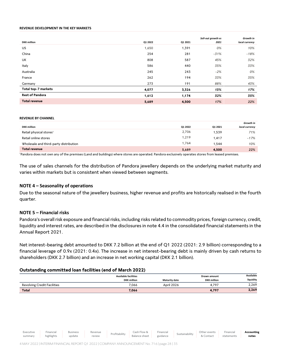### **REVENUE DEVELOPMENT IN THE KEY MARKETS**

|                        |         |         | Sell-out growth vs | Growth in      |
|------------------------|---------|---------|--------------------|----------------|
| <b>DKK</b> million     | Q1 2022 | Q1 2021 | 2021               | local currency |
| US                     | 1,650   | 1,391   | 0%                 | 10%            |
| China                  | 254     | 281     | $-31%$             | $-18%$         |
| UK                     | 808     | 587     | 45%                | 32%            |
| Italy                  | 586     | 440     | 35%                | 33%            |
| Australia              | 245     | 243     | $-2%$              | 0%             |
| France                 | 262     | 194     | 33%                | 35%            |
| Germany                | 273     | 191     | 88%                | 43%            |
| Total top-7 markets    | 4,077   | 3,326   | 13%                | 17%            |
| <b>Rest of Pandora</b> | 1,612   | 1,174   | 32%                | 35%            |
| <b>Total revenue</b>   | 5,689   | 4,500   | 17%                | 22%            |

### **REVENUE BY CHANNEL**

|                                        |         |         | Growth in      |
|----------------------------------------|---------|---------|----------------|
| <b>DKK</b> million                     | Q1 2022 | Q1 2021 | local currency |
| Retail physical stores <sup>1</sup>    | 2,706   | 1,539   | 71%            |
| Retail online stores                   | 1,219   | 1.417   | $-17%$         |
| Wholesale and third-party distribution | 1,764   | 1.544   | 10%            |
| <b>Total revenue</b>                   | 5,689   | 4,500   | 22%            |

<sup>1</sup>Pandora does not own any of the premises (Land and buildings) where stores are operated. Pandora exclusively operates stores from leased premises.

The use of sales channels for the distribution of Pandora jewellery depends on the underlying market maturity and varies within markets but is consistent when viewed between segments.

### **NOTE 4 – Seasonality of operations**

Due to the seasonal nature of the jewellery business, higher revenue and profits are historically realised in the fourth quarter.

### **NOTE 5 – Financial risks**

Pandora's overall risk exposure and financial risks, including risks related to commodity prices, foreign currency, credit, liquidity and interest rates, are described in the disclosures in note 4.4 in the consolidated financial statements in the Annual Report 2021.

Net interest-bearing debt amounted to DKK 7.2 billion at the end of Q1 2022 (2021: 2.9 billion) corresponding to a financial leverage of 0.9x (2021: 0.4x). The increase in net interest-bearing debt is mainly driven by cash returns to shareholders (DKK 2.7 billion) and an increase in net working capital (DKK 2.1 billion).

### **Outstanding committed loan facilities (end of March 2022)**

|                                    | <b>Available facilities</b><br><b>DKK</b> million | <b>Maturity date</b> | Drawn amount<br><b>DKK</b> million | Available<br>liquidity |
|------------------------------------|---------------------------------------------------|----------------------|------------------------------------|------------------------|
| <b>Revolving Credit Facilities</b> | 7,066                                             | April 2026           | 4.797                              | 2,269                  |
| <b>Total</b>                       | 7,066                                             |                      | 4,797                              | 2,269                  |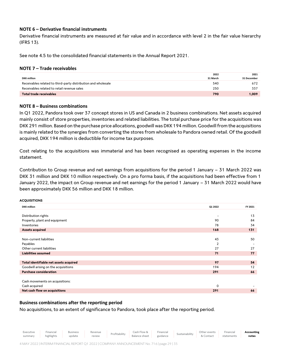### **NOTE 6 – Derivative financial instruments**

Derivative financial instruments are measured at fair value and in accordance with level 2 in the fair value hierarchy (IFRS 13).

See note 4.5 to the consolidated financial statements in the Annual Report 2021.

### **NOTE 7 – Trade receivables**

|                                                               | 2022     | 2021        |
|---------------------------------------------------------------|----------|-------------|
| <b>DKK million</b>                                            | 31 March | 31 December |
| Receivables related to third-party distribution and wholesale | 540      | 672         |
| Receivables related to retail revenue sales                   | 250      | 337         |
| Total trade receivables                                       | 790      | 1.009       |

### **NOTE 8 – Business combinations**

In Q1 2022, Pandora took over 37 concept stores in US and Canada in 2 business combinations. Net assets acquired mainly consist of store properties, inventories and related liabilities. The total purchase price for the acquisitions was DKK 291 million. Based on the purchase price allocations, goodwill was DKK 194 million. Goodwill from the acquisitions is mainly related to the synergies from converting the stores from wholesale to Pandora owned retail. Of the goodwill acquired, DKK 194 million is deductible for income tax purposes.

Cost relating to the acquisitions was immaterial and has been recognised as operating expenses in the income statement.

Contribution to Group revenue and net earnings from acquisitions for the period 1 January – 31 March 2022 was DKK 31 million and DKK 10 million respectively. On a pro forma basis, if the acquisitions had been effective from 1 January 2022, the impact on Group revenue and net earnings for the period 1 January – 31 March 2022 would have been approximately DKK 56 million and DKK 18 million.

### **ACQUISITIONS**

| <b>DKK</b> million                     | Q1 2022                  | FY 2021 |
|----------------------------------------|--------------------------|---------|
|                                        |                          |         |
| Distribution rights                    | $\overline{\phantom{a}}$ | 13      |
| Property, plant and equipment          | 90                       | 84      |
| Inventories                            | 78                       | 34      |
| Assets acquired                        | 168                      | 131     |
|                                        |                          |         |
| Non-current liabilities                | 43                       | 50      |
| Payables                               | 2                        |         |
| Other current liabilities              | 27                       | 27      |
| <b>Liabilities assumed</b>             | 71                       | 77      |
|                                        |                          |         |
| Total identifiable net assets acquired | 97                       | 54      |
| Goodwill arising on the acquisitions   | 194                      | 12      |
| <b>Purchase consideration</b>          | 291                      | 66      |
|                                        |                          |         |
| Cash movements on acquisitions:        |                          |         |
| Cash acquired                          | 0                        |         |
| Net cash flow on acquisitions          | 291                      | 66      |

### **Business combinations after the reporting period**

No acquisitions, to an extent of significance to Pandora, took place after the reporting period.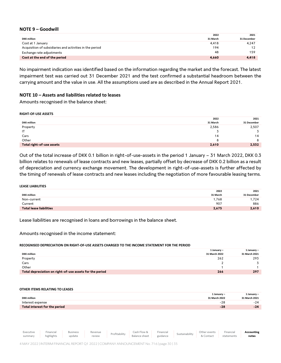### **NOTE 9 – Goodwill**

|                                                          | 2022     | 2021        |
|----------------------------------------------------------|----------|-------------|
| <b>DKK million</b>                                       | 31 March | 31 December |
| Cost at 1 January                                        | 4,418    | 4.247       |
| Acquisition of subsidiaries and activities in the period | 194      | 12          |
| Exchange rate adjustments                                | 48       | 159         |
| Cost at the end of the period                            | 4,660    | 4,418       |

No impairment indication was identified based on the information regarding the market and the forecast. The latest impairment test was carried out 31 December 2021 and the test confirmed a substantial headroom between the carrying amount and the value in use. All the assumptions used are as described in the Annual Report 2021.

### **NOTE 10 – Assets and liabilities related to leases**

Amounts recognised in the balance sheet:

### **RIGHT-OF-USE ASSETS**

|                           | 2022     | 2021        |
|---------------------------|----------|-------------|
| <b>DKK</b> million        | 31 March | 31 December |
| Property                  | 2,586    | 2,507       |
| IT                        |          |             |
| Cars                      | 14       | 14          |
| Other                     |          | 8           |
| Total right-of-use assets | 2,610    | 2,532       |

Out of the total increase of DKK 0.1 billion in right-of-use-assets in the period 1 January – 31 March 2022, DKK 0.3 billion relates to renewals of lease contracts and new leases, partially offset by decrease of DKK 0.2 billion as a result of depreciation and currency exchange movement. The development in right-of-use-assets is further affected by the timing of renewals of lease contracts and new leases including the negotiation of more favourable leasing terms.

### **LEASE LIABILITIES**

|                         | 2022     | 2021        |
|-------------------------|----------|-------------|
| <b>DKK</b> million      | 31 March | 31 December |
| Non-current             | 1,768    | .724        |
| Current                 | 907      | 886         |
| Total lease liabilities | 2,675    | 2,610       |

Lease liabilities are recognised in loans and borrowings in the balance sheet.

Amounts recognised in the income statement:

### **RECOGNISED DEPRECIATION ON RIGHT-OF-USE ASSETS CHARGED TO THE INCOME STATEMENT FOR THE PERIOD**

|                                                          | 1 January -   | 1 January $-$ |
|----------------------------------------------------------|---------------|---------------|
| <b>DKK</b> million                                       | 31 March 2022 | 31 March 2021 |
| Property                                                 | 262           | 293           |
| Cars                                                     |               |               |
| Other                                                    |               |               |
| Total depreciation on right-of-use assets for the period | 266           | 297           |
|                                                          |               |               |

### **OTHER ITEMS RELATING TO LEASES**

|                               | 1 January –   | 1 January –   |
|-------------------------------|---------------|---------------|
| <b>DKK</b> million            | 31 March 2022 | 31 March 2021 |
| Interest expense              | $-28$         | $-24$         |
| Total interest for the period | $-28$         | $-24$         |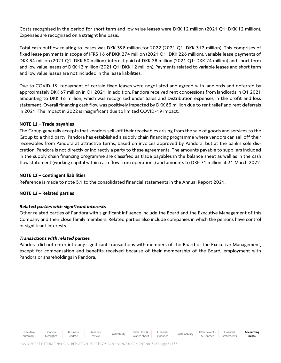Costs recognised in the period for short term and low value leases were DKK 12 million (2021 Q1: DKK 12 million). Expenses are recognised on a straight line basis.

Total cash outflow relating to leases was DKK 398 million for 2022 (2021 Q1: DKK 312 million). This comprises of fixed lease payments in scope of IFRS 16 of DKK 274 million (2021 Q1: DKK 226 million), variable lease payments of DKK 84 million (2021 Q1: DKK 50 million), interest paid of DKK 28 million (2021 Q1: DKK 24 million) and short term and low value leases of DKK 12 million (2021 Q1: DKK 12 million). Payments related to variable leases and short term and low value leases are not included in the lease liabilities.

Due to COVID-19, repayment of certain fixed leases were negotiated and agreed with landlords and deferred by approximately DKK 67 million in Q1 2021. In addition, Pandora received rent concessions from landlords in Q1 2021 amounting to DKK 16 million, which was recognised under Sales and Distribution expenses in the profit and loss statement. Overall financing cash flow was positively impacted by DKK 83 million due to rent relief and rent deferrals in 2021. The impact in 2022 is insignificant due to limited COVID-19 impact.

### **NOTE 11 – Trade payables**

The Group generally accepts that vendors sell-off their receivables arising from the sale of goods and services to the Group to a third party. Pandora has established a supply chain financing programme where vendors can sell off their receivables from Pandora at attractive terms, based on invoices approved by Pandora, but at the bank's sole discretion. Pandora is not directly or indirectly a party to these agreements. The amounts payable to suppliers included in the supply chain financing programme are classified as trade payables in the balance sheet as well as in the cash flow statement (working capital within cash flow from operations) and amounts to DKK 71 million at 31 March 2022.

### **NOTE 12 – Contingent liabilities**

Reference is made to note 5.1 to the consolidated financial statements in the Annual Report 2021.

### **NOTE 13 – Related parties**

### *Related parties with significant interests*

Other related parties of Pandora with significant influence include the Board and the Executive Management of this Company and their close family members. Related parties also include companies in which the persons have control or significant interests.

### *Transactions with related parties*

Pandora did not enter into any significant transactions with members of the Board or the Executive Management, except for compensation and benefits received because of their membership of the Board, employment with Pandora or shareholdings in Pandora.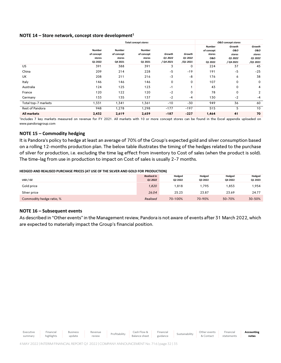### **NOTE 14 – Store network, concept store development<sup>1</sup>**

|                     | <b>Total concept stores</b> |            |               |           |          |               | <b>0&amp;0</b> concept stores |          |
|---------------------|-----------------------------|------------|---------------|-----------|----------|---------------|-------------------------------|----------|
|                     |                             |            |               |           |          | <b>Number</b> | Growth                        | Growth   |
|                     | Number                      | Number     | <b>Number</b> |           |          | of concept    | 0&0                           | 0&0      |
|                     | of concept                  | of concept | of concept    | Growth    | Growth   | stores        | stores                        | stores   |
|                     | stores                      | stores     | stores        | Q1 2022   | Q1 2022  | 0&0           | Q1 2022                       | Q1 2022  |
|                     | Q1 2022                     | Q4 2021    | Q1 2021       | / Q4 2021 | /Q1 2021 | Q1 2022       | / Q4 2021                     | /Q1 2021 |
| US                  | 391                         | 388        | 391           | 3         | 0        | 224           | 37                            | 45       |
| China               | 209                         | 214        | 228           | $-5$      | $-19$    | 191           | $-5$                          | $-25$    |
| <b>UK</b>           | 208                         | 211        | 216           | $-3$      | -8       | 176           | 6                             | 38       |
| Italy               | 146                         | 146        | 146           | 0         | 0        | 107           | 0                             | 0        |
| Australia           | 124                         | 125        | 123           | -1        |          | 43            | 0                             | 4        |
| France              | 120                         | 122        | 120           | $-2$      | 0        | 78            | 0                             | 2        |
| Germany             | 133                         | 135        | 137           | $-2$      | -4       | 130           | $-2$                          | $-4$     |
| Total top-7 markets | 1,331                       | 1,341      | 1,361         | $-10$     | -30      | 949           | 36                            | 60       |
| Rest of Pandora     | 948                         | 1,278      | 1,298         | $-177$    | $-197$   | 515           | 5                             | 10       |
| All markets         | 2,432                       | 2,619      | 2,659         | $-187$    | $-227$   | 1,464         | 41                            | 70       |

1 Includes 7 key markets measured on revenue for FY 2021. All markets with 10 or more concept stores can be found in the Excel appendix uploaded on www.pandoragroup.com

### **NOTE 15 – Commodity hedging**

It is Pandora's policy to hedge at least an average of 70% of the Group's expected gold and silver consumption based on a rolling 12-months production plan. The below table illustrates the timing of the hedges related to the purchase of silver for production, i.e. excluding the time lag effect from inventory to Cost of sales (when the product is sold). The time-lag from use in production to impact on Cost of sales is usually 2-7 months.

### **HEDGED AND REALISED PURCHASE PRICES (AT USE OF THE SILVER AND GOLD FOR PRODUCTION)**

|                          | <b>Realised in</b> | Hedged  | Hedged  | Hedged  | Hedged  |
|--------------------------|--------------------|---------|---------|---------|---------|
| USD / OZ                 | Q1 2022            | Q2 2022 | Q3 2022 | Q4 2022 | Q1 2023 |
| Gold price               | 1,820              | 1,818   | 1.795   | .853    | .954    |
| Silver price             | 26.04              | 25.23   | 23.87   | 23.69   | 24.77   |
| Commodity hedge ratio, % | Realised           | 70-100% | 70-90%  | 50-70%  | 30-50%  |

### **NOTE 16 – Subsequent events**

As described in "Other events" in the Management review, Pandora is not aware of events after 31 March 2022, which are expected to materially impact the Group's financial position.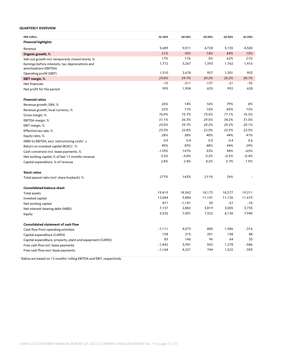### **QUARTERLY OVERVIEW**

| <b>DKK</b> million                                         | Q1 2022  | Q4 2021  | Q3 2021 | Q2 2021 | Q1 2021 |
|------------------------------------------------------------|----------|----------|---------|---------|---------|
| <b>Financial highlights</b>                                |          |          |         |         |         |
| Revenue                                                    | 5,689    | 9,011    | 4,728   | 5,155   | 4,500   |
| Organic growth, %                                          | 21%      | 10%      | 14%     | 84%     | 13%     |
| Sell-out growth incl. temporarily closed stores, %         | 17%      | 11%      | 5%      | 62%     | 21%     |
| Earnings before interests, tax, depreciations and          | 1,772    | 3,267    | 1,393   | 1,762   | 1,416   |
| amortisations (EBITDA)                                     |          |          |         |         |         |
| Operating profit (EBIT)                                    | 1,310    | 2,678    | 957     | 1,301   | 903     |
| EBIT margin, %                                             | 23.0%    | 29.7%    | 20.2%   | 25.2%   | 20.1%   |
| Net financials                                             | $-10$    | $-211$   | $-137$  | $-21$   | $-92$   |
| Net profit for the period                                  | 995      | 1,904    | 635     | 992     | 628     |
| <b>Financial ratios</b>                                    |          |          |         |         |         |
| Revenue growth, DKK, %                                     | 26%      | 14%      | 16%     | 79%     | 8%      |
| Revenue growth, local currency, %                          | 22%      | 11%      | 15%     | 85%     | 13%     |
| Gross margin, %                                            | 76.0%    | 75.7%    | 75.5%   | 77.1%   | 76.3%   |
| EBITDA margin, %                                           | 31.1%    | 36.3%    | 29.5%   | 34.2%   | 31.5%   |
| EBIT margin, %                                             | 23.0%    | 29.7%    | 20.2%   | 25.2%   | 20.1%   |
| Effective tax rate, %                                      | 23.5%    | 22.8%    | 22.5%   | 22.5%   | 22.5%   |
| Equity ratio, %                                            | 28%      | 38%      | 40%     | 44%     | 41%     |
| NIBD to EBITDA, excl. restructuring costs <sup>1</sup> , x | 0.9      | 0.4      | 0.5     | 0.4     | 0.6     |
| Return on invested capital (ROIC) <sup>1</sup> , %         | 49%      | 59%      | 48%     | 44%     | 29%     |
| Cash conversion incl. lease payments, %                    | $-110%$  | 147%     | 53%     | 98%     | -65%    |
| Net working capital, % of last 12 months revenue           | 3.5%     | $-5.0%$  | 0.2%    | $-0.3%$ | $-0.4%$ |
| Capital expenditure, % of revenue                          | 2.8%     | 2.4%     | 4.2%    | 2.7%    | 1.9%    |
| <b>Stock ratios</b>                                        |          |          |         |         |         |
| Total payout ratio (incl. share buyback), %                | 277%     | 143%     | 211%    | 76%     |         |
|                                                            |          |          |         |         |         |
| <b>Consolidated balance sheet</b>                          | 19,419   | 18,542   | 18,173  | 18,277  | 19,211  |
| <b>Total assets</b>                                        | 12,684   | 9,884    | 11,141  | 11,136  | 11,675  |
| Invested capital                                           | 871      | $-1,181$ | 50      | $-57$   | $-76$   |
| Net working capital                                        | 7,157    | 2,882    | 3,819   | 3,005   | 3,735   |
| Net interest-bearing debt (NIBD)                           | 5,526    | 7,001    | 7,322   | 8,130   | 7,940   |
| Equity                                                     |          |          |         |         |         |
| Consolidated statement of cash flow                        |          |          |         |         |         |
| Cash flow from operating activities                        | $-1,111$ | 4,073    | 885     | 1,586   | $-316$  |
| Capital expenditure (CAPEX)                                | 158      | 215      | 201     | 138     | 88      |
| Capital expenditure, property, plant and equipment (CAPEX) | 83       | 146      | 96      | 64      | 35      |
| Free cash flow incl. lease payments                        | $-1,442$ | 3,941    | 502     | 1,278   | $-586$  |
| Free cash flow excl. lease payments                        | $-1,168$ | 4,221    | 744     | 1,522   | $-359$  |

<sup>1</sup> Ratios are based on 12 months' rolling EBITDA and EBIT, respectively.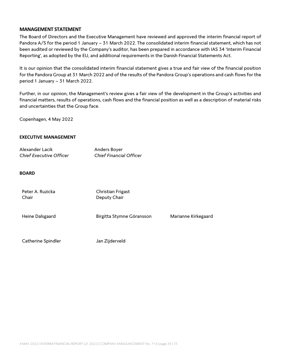### **MANAGEMENT STATEMENT**

[The Board of Directors and the Executive Management have reviewed and approved the](pp://Other%20statements/Statement%20by%20executive%20and%20supervisory%20boards?taxonomy=DKGAAP&labellanguage=en&period=1_Consolidated&allowhtml=true&merge=true) interim financial report of Pandora A/S for the period 1 January – [31 March 2022. The consolidated interim financial statement, which has not](pp://Other%20statements/Statement%20by%20executive%20and%20supervisory%20boards?taxonomy=DKGAAP&labellanguage=en&period=1_Consolidated&allowhtml=true&merge=true)  [been audited or reviewed by the Company's auditor, has been prepared in accordance with IAS 34 'Interim Financial](pp://Other%20statements/Statement%20by%20executive%20and%20supervisory%20boards?taxonomy=DKGAAP&labellanguage=en&period=1_Consolidated&allowhtml=true&merge=true) [Reporting', as adopted by the EU, and additional requirements in the Danish Financial Statements Act.](pp://Other%20statements/Statement%20by%20executive%20and%20supervisory%20boards?taxonomy=DKGAAP&labellanguage=en&period=1_Consolidated&allowhtml=true&merge=true)

[It is our opinion that the consolidated interim financial statement gives a true and fair view of the financial position](pp://Other%20statements/Statement%20by%20executive%20and%20supervisory%20boards?taxonomy=DKGAAP&labellanguage=en&period=1_Consolidated&allowhtml=true&merge=true)  for the Pandora Group at 31 March 2022 [and of the results of the Pandora Group's operations and cash flows for the](pp://Other%20statements/Statement%20by%20executive%20and%20supervisory%20boards?taxonomy=DKGAAP&labellanguage=en&period=1_Consolidated&allowhtml=true&merge=true)  [period 1 January](pp://Other%20statements/Statement%20by%20executive%20and%20supervisory%20boards?taxonomy=DKGAAP&labellanguage=en&period=1_Consolidated&allowhtml=true&merge=true) – 31 March 2022.

[Further, in our opinion, the Management's review gives a fair view of the development in the Group's activities and](pp://Other%20statements/Statement%20by%20executive%20and%20supervisory%20boards?taxonomy=DKGAAP&labellanguage=en&period=1_Consolidated&allowhtml=true&merge=true)  [financial matters, results of operations, cash flows and the financial position as well as a description of material risks](pp://Other%20statements/Statement%20by%20executive%20and%20supervisory%20boards?taxonomy=DKGAAP&labellanguage=en&period=1_Consolidated&allowhtml=true&merge=true)  [and uncertainties that the Group face.](pp://Other%20statements/Statement%20by%20executive%20and%20supervisory%20boards?taxonomy=DKGAAP&labellanguage=en&period=1_Consolidated&allowhtml=true&merge=true)

[Copenhagen,](pp://General%20Data/Place%20of%20signature%20of%20statement%20by%20management?taxonomy=DKGAAP&labellanguage=en&allowhtml=false) 4 [May 2022](pp://General%20Data/Date%20of%20approval%20of%20annual%20report?taxonomy=DKGAAP&labellanguage=en&allowhtml=false)

### **EXECUTIVE MANAGEMENT**

| Alexander Lacik                | Anders Boyer                   |
|--------------------------------|--------------------------------|
| <b>Chief Executive Officer</b> | <b>Chief Financial Officer</b> |

### **BOARD**

| Peter A. Ruzicka<br>Chair | Christian Frigast<br>Deputy Chair |                     |
|---------------------------|-----------------------------------|---------------------|
| Heine Dalsgaard           | Birgitta Stymne Göransson         | Marianne Kirkegaard |
| Catherine Spindler        | Jan Zijderveld                    |                     |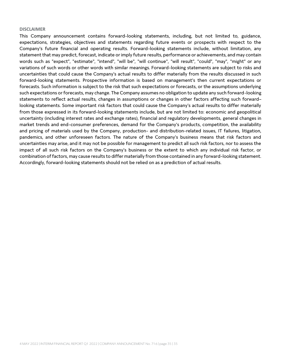### **DISCLAIMER**

This Company announcement contains forward-looking statements, including, but not limited to, guidance, expectations, strategies, objectives and statements regarding future events or prospects with respect to the Company's future financial and operating results. Forward-looking statements include, without limitation, any statement that may predict, forecast, indicate or imply future results, performance or achievements, and may contain words such as "expect", "estimate", "intend", "will be", "will continue", "will result", "could", "may", "might" or any variations of such words or other words with similar meanings. Forward-looking statements are subject to risks and uncertainties that could cause the Company's actual results to differ materially from the results discussed in such forward-looking statements. Prospective information is based on management's then current expectations or forecasts. Such information is subject to the risk that such expectations or forecasts, or the assumptions underlying such expectations or forecasts, may change. The Company assumes no obligation to update any such forward-looking statements to reflect actual results, changes in assumptions or changes in other factors affecting such forwardlooking statements. Some important risk factors that could cause the Company's actual results to differ materially from those expressed in its forward-looking statements include, but are not limited to: economic and geopolitical uncertainty (including interest rates and exchange rates), financial and regulatory developments, general changes in market trends and end-consumer preferences, demand for the Company's products, competition, the availability and pricing of materials used by the Company, production- and distribution-related issues, IT failures, litigation, pandemics, and other unforeseen factors. The nature of the Company's business means that risk factors and uncertainties may arise, and it may not be possible for management to predict all such risk factors, nor to assess the impact of all such risk factors on the Company's business or the extent to which any individual risk factor, or combination of factors, may cause results to differ materially from those contained in any forward-looking statement. Accordingly, forward-looking statements should not be relied on as a prediction of actual results.